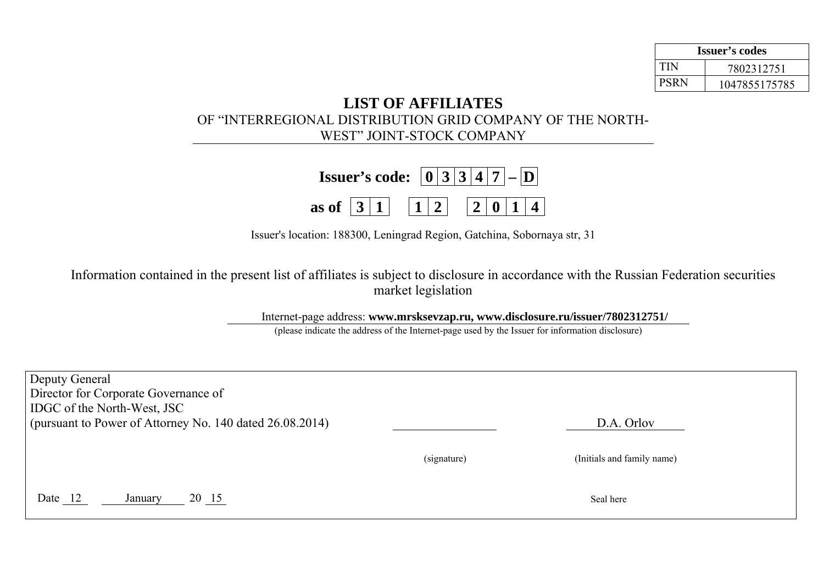| Issuer's codes |               |  |  |  |
|----------------|---------------|--|--|--|
| TIN            | 7802312751    |  |  |  |
| <b>PSRN</b>    | 1047855175785 |  |  |  |

## **LIST OF AFFILIATES**  OF "INTERREGIONAL DISTRIBUTION GRID COMPANY OF THE NORTH-WEST" JOINT-STOCK COMPANY

| <b>Issuer's code:</b> $\boxed{0}$ 3 3 4 7 - $\boxed{D}$                                   |  |  |  |  |  |
|-------------------------------------------------------------------------------------------|--|--|--|--|--|
| as of $\boxed{3}$ $\boxed{1}$ $\boxed{1}$ $\boxed{2}$ $\boxed{0}$ $\boxed{1}$ $\boxed{4}$ |  |  |  |  |  |

Issuer's location: 188300, Leningrad Region, Gatchina, Sobornaya str, 31

Information contained in the present list of affiliates is subject to disclosure in accordance with the Russian Federation securities market legislation

Internet-page address: **www.mrsksevzap.ru, www.disclosure.ru/issuer/7802312751/** 

(please indicate the address of the Internet-page used by the Issuer for information disclosure)

| Deputy General<br>Director for Corporate Governance of<br><b>IDGC</b> of the North-West, JSC |             |                            |  |  |  |  |  |
|----------------------------------------------------------------------------------------------|-------------|----------------------------|--|--|--|--|--|
| (pursuant to Power of Attorney No. 140 dated $26.08.2014$ )                                  |             | D.A. Orlov                 |  |  |  |  |  |
|                                                                                              | (signature) | (Initials and family name) |  |  |  |  |  |
| Date 12<br>20 15<br>January                                                                  |             | Seal here                  |  |  |  |  |  |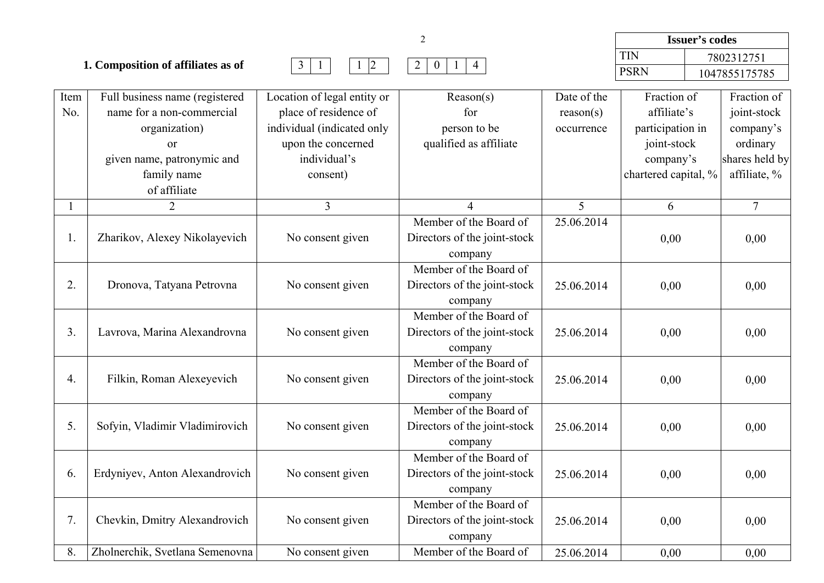|                                    |                                                             |                                                      |                  |                          | <b>Issuer's codes</b>      |  |                            |
|------------------------------------|-------------------------------------------------------------|------------------------------------------------------|------------------|--------------------------|----------------------------|--|----------------------------|
| 1. Composition of affiliates as of |                                                             |                                                      |                  |                          | TIN                        |  | 7802312751                 |
|                                    |                                                             | $1 \mid 4$                                           |                  |                          | <b>PSRN</b>                |  | 1047855175785              |
|                                    | Full business name (registered<br>name for a non-commercial | Location of legal entity or<br>place of residence of | Reason(s)<br>tor | Date of the<br>reason(s) | Fraction of<br>affiliate's |  | Fraction of<br>joint-stock |

Item

| No.            | name for a non-commercial       | place of residence of      | for                          | reason(s)  | affiliate's          | joint-stock    |
|----------------|---------------------------------|----------------------------|------------------------------|------------|----------------------|----------------|
|                | organization)                   | individual (indicated only | person to be                 | occurrence | participation in     | company's      |
|                | <b>or</b>                       | upon the concerned         | qualified as affiliate       |            | joint-stock          | ordinary       |
|                | given name, patronymic and      | individual's               |                              |            | company's            | shares held by |
|                | family name                     | consent)                   |                              |            | chartered capital, % | affiliate, %   |
|                | of affiliate                    |                            |                              |            |                      |                |
|                | $\overline{2}$                  | $\overline{3}$             | $\overline{4}$               | 5          | 6                    | $\overline{7}$ |
|                |                                 |                            | Member of the Board of       | 25.06.2014 |                      |                |
| 1.             | Zharikov, Alexey Nikolayevich   | No consent given           | Directors of the joint-stock |            | 0,00                 | 0,00           |
|                |                                 |                            | company                      |            |                      |                |
|                |                                 |                            | Member of the Board of       |            |                      |                |
| 2.             | Dronova, Tatyana Petrovna       | No consent given           | Directors of the joint-stock | 25.06.2014 | 0,00                 | 0,00           |
|                |                                 |                            | company                      |            |                      |                |
|                |                                 |                            | Member of the Board of       |            |                      |                |
| 3 <sub>1</sub> | Lavrova, Marina Alexandrovna    | No consent given           | Directors of the joint-stock | 25.06.2014 | 0,00                 | 0,00           |
|                |                                 |                            | company                      |            |                      |                |
|                |                                 |                            | Member of the Board of       |            |                      |                |
| 4.             | Filkin, Roman Alexeyevich       | No consent given           | Directors of the joint-stock | 25.06.2014 | 0,00                 | 0,00           |
|                |                                 |                            | company                      |            |                      |                |
|                |                                 |                            | Member of the Board of       |            |                      |                |
| 5.             | Sofyin, Vladimir Vladimirovich  | No consent given           | Directors of the joint-stock | 25.06.2014 | 0,00                 | 0,00           |
|                |                                 |                            | company                      |            |                      |                |
|                |                                 |                            | Member of the Board of       |            |                      |                |
| 6.             | Erdyniyev, Anton Alexandrovich  | No consent given           | Directors of the joint-stock | 25.06.2014 | 0,00                 | 0,00           |
|                |                                 |                            | company                      |            |                      |                |
|                |                                 |                            | Member of the Board of       |            |                      |                |
| 7.             | Chevkin, Dmitry Alexandrovich   | No consent given           | Directors of the joint-stock | 25.06.2014 | 0,00                 | 0,00           |
|                |                                 |                            | company                      |            |                      |                |
| 8.             | Zholnerchik, Svetlana Semenovna | No consent given           | Member of the Board of       | 25.06.2014 | 0.00                 | 0.00           |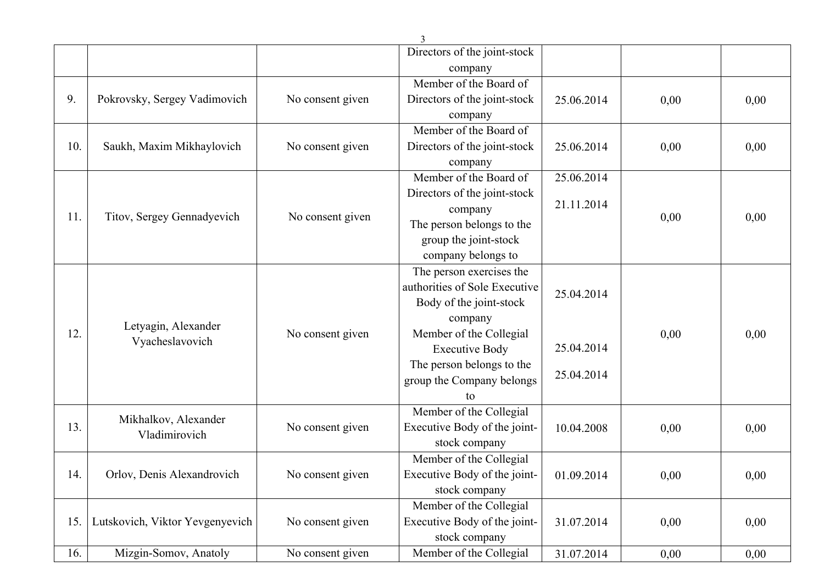|     |                                 |                     | Directors of the joint-stock  |            |      |      |
|-----|---------------------------------|---------------------|-------------------------------|------------|------|------|
|     |                                 |                     | company                       |            |      |      |
|     |                                 |                     | Member of the Board of        |            |      |      |
| 9.  | Pokrovsky, Sergey Vadimovich    | No consent given    | Directors of the joint-stock  | 25.06.2014 | 0,00 | 0,00 |
|     |                                 |                     | company                       |            |      |      |
|     |                                 |                     | Member of the Board of        |            |      |      |
| 10. | Saukh, Maxim Mikhaylovich       | No consent given    | Directors of the joint-stock  | 25.06.2014 | 0,00 | 0,00 |
|     |                                 |                     | company                       |            |      |      |
|     |                                 |                     | Member of the Board of        | 25.06.2014 |      |      |
|     |                                 |                     | Directors of the joint-stock  |            |      |      |
| 11. | Titov, Sergey Gennadyevich      | No consent given    | company                       | 21.11.2014 | 0,00 | 0,00 |
|     |                                 |                     | The person belongs to the     |            |      |      |
|     |                                 |                     | group the joint-stock         |            |      |      |
|     |                                 |                     | company belongs to            |            |      |      |
|     |                                 |                     | The person exercises the      |            |      |      |
|     |                                 |                     | authorities of Sole Executive | 25.04.2014 |      |      |
|     |                                 |                     | Body of the joint-stock       |            |      |      |
|     |                                 | Letyagin, Alexander |                               | company    |      |      |
| 12. | Vyacheslavovich                 | No consent given    | Member of the Collegial       |            | 0,00 | 0,00 |
|     |                                 |                     | <b>Executive Body</b>         | 25.04.2014 |      |      |
|     |                                 |                     | The person belongs to the     | 25.04.2014 |      |      |
|     |                                 |                     | group the Company belongs     |            |      |      |
|     |                                 |                     | to                            |            |      |      |
|     | Mikhalkov, Alexander            |                     | Member of the Collegial       |            |      |      |
| 13. | Vladimirovich                   | No consent given    | Executive Body of the joint-  | 10.04.2008 | 0,00 | 0,00 |
|     |                                 |                     | stock company                 |            |      |      |
|     |                                 |                     | Member of the Collegial       |            |      |      |
| 14. | Orlov, Denis Alexandrovich      | No consent given    | Executive Body of the joint-  | 01.09.2014 | 0,00 | 0,00 |
|     |                                 |                     | stock company                 |            |      |      |
|     |                                 |                     | Member of the Collegial       |            |      |      |
| 15. | Lutskovich, Viktor Yevgenyevich | No consent given    | Executive Body of the joint-  | 31.07.2014 | 0,00 | 0,00 |
|     |                                 |                     | stock company                 |            |      |      |
| 16. | Mizgin-Somov, Anatoly           | No consent given    | Member of the Collegial       | 31.07.2014 | 0,00 | 0,00 |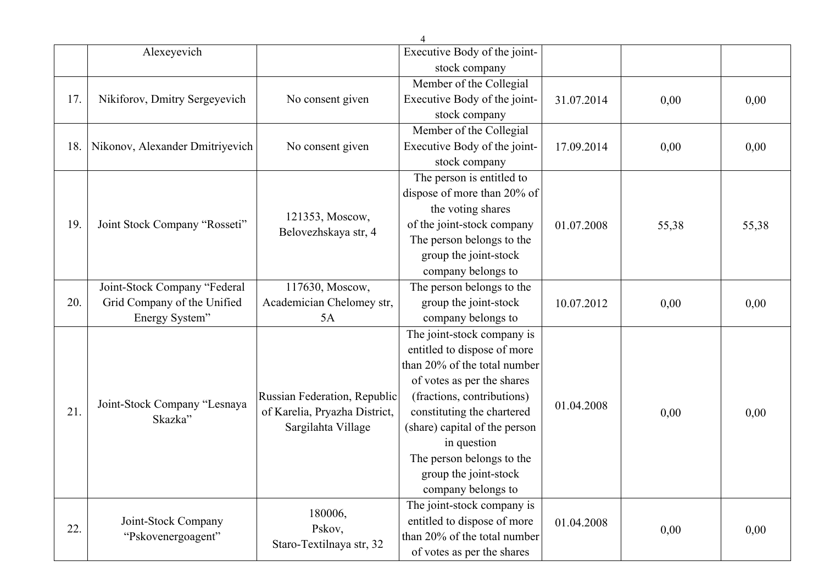|     | Alexeyevich                     |                                         | Executive Body of the joint-  |            |       |       |
|-----|---------------------------------|-----------------------------------------|-------------------------------|------------|-------|-------|
|     |                                 |                                         | stock company                 |            |       |       |
|     |                                 |                                         | Member of the Collegial       |            |       |       |
| 17. | Nikiforov, Dmitry Sergeyevich   | No consent given                        | Executive Body of the joint-  | 31.07.2014 | 0,00  | 0,00  |
|     |                                 |                                         | stock company                 |            |       |       |
|     |                                 |                                         | Member of the Collegial       |            |       |       |
| 18. | Nikonov, Alexander Dmitriyevich | No consent given                        | Executive Body of the joint-  | 17.09.2014 | 0,00  | 0,00  |
|     |                                 |                                         | stock company                 |            |       |       |
|     |                                 |                                         | The person is entitled to     |            |       |       |
|     |                                 |                                         | dispose of more than 20% of   |            |       |       |
|     |                                 |                                         | the voting shares             |            |       |       |
| 19. | Joint Stock Company "Rosseti"   | 121353, Moscow,<br>Belovezhskaya str, 4 | of the joint-stock company    | 01.07.2008 | 55,38 | 55,38 |
|     |                                 |                                         | The person belongs to the     |            |       |       |
|     |                                 |                                         | group the joint-stock         |            |       |       |
|     |                                 |                                         | company belongs to            |            |       |       |
|     | Joint-Stock Company "Federal    | 117630, Moscow,                         | The person belongs to the     |            |       |       |
| 20. | Grid Company of the Unified     | Academician Chelomey str,               | group the joint-stock         | 10.07.2012 | 0,00  | 0,00  |
|     | Energy System"                  | 5A                                      | company belongs to            |            |       |       |
|     |                                 |                                         | The joint-stock company is    |            |       |       |
|     |                                 |                                         | entitled to dispose of more   |            |       |       |
|     |                                 |                                         | than 20% of the total number  |            |       |       |
|     |                                 |                                         | of votes as per the shares    |            |       |       |
|     | Joint-Stock Company "Lesnaya    | Russian Federation, Republic            | (fractions, contributions)    |            |       |       |
| 21. | Skazka"                         | of Karelia, Pryazha District,           | constituting the chartered    | 01.04.2008 | 0,00  | 0,00  |
|     |                                 | Sargilahta Village                      | (share) capital of the person |            |       |       |
|     |                                 |                                         | in question                   |            |       |       |
|     |                                 |                                         | The person belongs to the     |            |       |       |
|     |                                 |                                         | group the joint-stock         |            |       |       |
|     |                                 |                                         | company belongs to            |            |       |       |
|     |                                 | 180006,                                 | The joint-stock company is    |            |       |       |
| 22. | Joint-Stock Company             | Pskov,                                  | entitled to dispose of more   | 01.04.2008 | 0,00  | 0,00  |
|     | "Pskovenergoagent"              | Staro-Textilnaya str, 32                | than 20% of the total number  |            |       |       |
|     |                                 |                                         | of votes as per the shares    |            |       |       |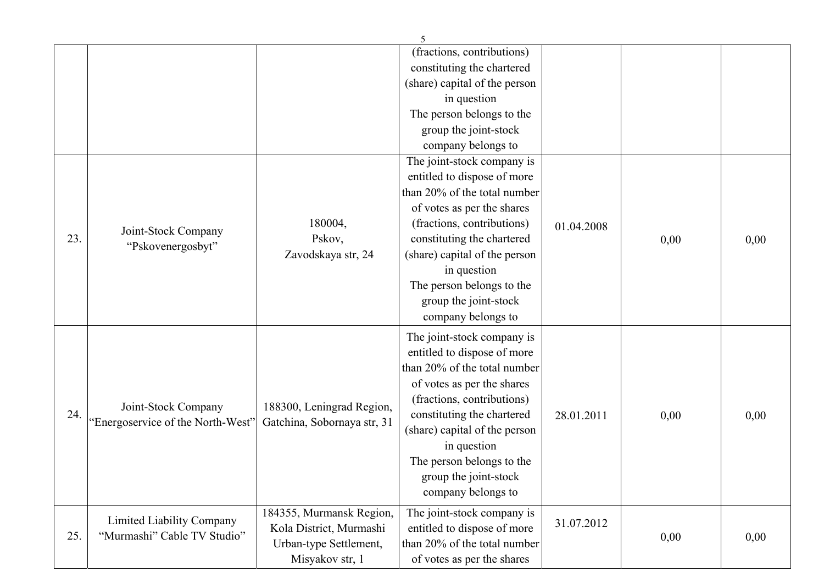|     |                                          |                             | 5                             |            |      |      |
|-----|------------------------------------------|-----------------------------|-------------------------------|------------|------|------|
|     |                                          |                             | (fractions, contributions)    |            |      |      |
|     |                                          |                             | constituting the chartered    |            |      |      |
|     |                                          |                             | (share) capital of the person |            |      |      |
|     |                                          |                             | in question                   |            |      |      |
|     |                                          |                             | The person belongs to the     |            |      |      |
|     |                                          |                             | group the joint-stock         |            |      |      |
|     |                                          |                             | company belongs to            |            |      |      |
|     |                                          |                             | The joint-stock company is    |            |      |      |
|     |                                          |                             | entitled to dispose of more   |            |      |      |
|     |                                          |                             | than 20% of the total number  |            |      |      |
|     |                                          |                             | of votes as per the shares    |            |      |      |
|     |                                          | 180004,                     | (fractions, contributions)    | 01.04.2008 |      |      |
| 23. | Joint-Stock Company<br>"Pskovenergosbyt" | Pskov,                      | constituting the chartered    |            | 0,00 | 0,00 |
|     |                                          | Zavodskaya str, 24          | (share) capital of the person |            |      |      |
|     |                                          |                             | in question                   |            |      |      |
|     |                                          |                             | The person belongs to the     |            |      |      |
|     |                                          |                             | group the joint-stock         |            |      |      |
|     |                                          |                             | company belongs to            |            |      |      |
|     |                                          |                             | The joint-stock company is    |            |      |      |
|     |                                          |                             | entitled to dispose of more   |            |      |      |
|     |                                          |                             | than 20% of the total number  |            |      |      |
|     |                                          |                             | of votes as per the shares    |            |      |      |
|     |                                          |                             | (fractions, contributions)    |            |      |      |
| 24. | Joint-Stock Company                      | 188300, Leningrad Region,   | constituting the chartered    | 28.01.2011 | 0,00 | 0,00 |
|     | "Energoservice of the North-West"        | Gatchina, Sobornaya str, 31 | (share) capital of the person |            |      |      |
|     |                                          |                             | in question                   |            |      |      |
|     |                                          |                             | The person belongs to the     |            |      |      |
|     |                                          |                             | group the joint-stock         |            |      |      |
|     |                                          |                             | company belongs to            |            |      |      |
|     |                                          | 184355, Murmansk Region,    | The joint-stock company is    |            |      |      |
|     | Limited Liability Company                | Kola District, Murmashi     | entitled to dispose of more   | 31.07.2012 |      |      |
| 25. | "Murmashi" Cable TV Studio"              | Urban-type Settlement,      | than 20% of the total number  |            | 0,00 | 0,00 |
|     |                                          | Misyakov str, 1             | of votes as per the shares    |            |      |      |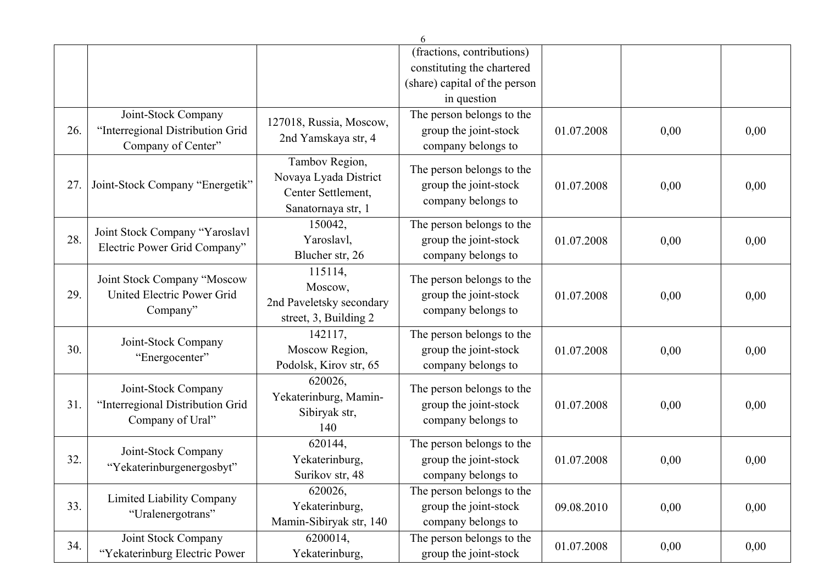|     |                                                                               |                                                                                     | 6                                                                        |            |      |      |
|-----|-------------------------------------------------------------------------------|-------------------------------------------------------------------------------------|--------------------------------------------------------------------------|------------|------|------|
|     |                                                                               |                                                                                     | (fractions, contributions)                                               |            |      |      |
|     |                                                                               |                                                                                     | constituting the chartered                                               |            |      |      |
|     |                                                                               |                                                                                     | (share) capital of the person                                            |            |      |      |
|     |                                                                               |                                                                                     | in question                                                              |            |      |      |
| 26. | Joint-Stock Company<br>"Interregional Distribution Grid<br>Company of Center" | 127018, Russia, Moscow,<br>2nd Yamskaya str, 4                                      | The person belongs to the<br>group the joint-stock<br>company belongs to | 01.07.2008 | 0,00 | 0,00 |
| 27. | Joint-Stock Company "Energetik"                                               | Tambov Region,<br>Novaya Lyada District<br>Center Settlement,<br>Sanatornaya str, 1 | The person belongs to the<br>group the joint-stock<br>company belongs to | 01.07.2008 | 0,00 | 0,00 |
| 28. | Joint Stock Company "Yaroslavl<br>Electric Power Grid Company"                | 150042,<br>Yaroslavl,<br>Blucher str, 26                                            | The person belongs to the<br>group the joint-stock<br>company belongs to | 01.07.2008 | 0,00 | 0,00 |
| 29. | Joint Stock Company "Moscow<br>United Electric Power Grid<br>Company"         | 115114,<br>Moscow,<br>2nd Paveletsky secondary<br>street, 3, Building 2             | The person belongs to the<br>group the joint-stock<br>company belongs to | 01.07.2008 | 0,00 | 0,00 |
| 30. | Joint-Stock Company<br>"Energocenter"                                         | 142117,<br>Moscow Region,<br>Podolsk, Kirov str, 65                                 | The person belongs to the<br>group the joint-stock<br>company belongs to | 01.07.2008 | 0,00 | 0,00 |
| 31. | Joint-Stock Company<br>"Interregional Distribution Grid<br>Company of Ural"   | 620026,<br>Yekaterinburg, Mamin-<br>Sibiryak str,<br>140                            | The person belongs to the<br>group the joint-stock<br>company belongs to | 01.07.2008 | 0,00 | 0,00 |
| 32. | Joint-Stock Company<br>"Yekaterinburgenergosbyt"                              | 620144,<br>Yekaterinburg,<br>Surikov str, 48                                        | The person belongs to the<br>group the joint-stock<br>company belongs to | 01.07.2008 | 0,00 | 0,00 |
| 33. | Limited Liability Company<br>"Uralenergotrans"                                | 620026,<br>Yekaterinburg,<br>Mamin-Sibiryak str, 140                                | The person belongs to the<br>group the joint-stock<br>company belongs to | 09.08.2010 | 0,00 | 0,00 |
| 34. | Joint Stock Company<br>"Yekaterinburg Electric Power                          | 6200014,<br>Yekaterinburg,                                                          | The person belongs to the<br>group the joint-stock                       | 01.07.2008 | 0,00 | 0,00 |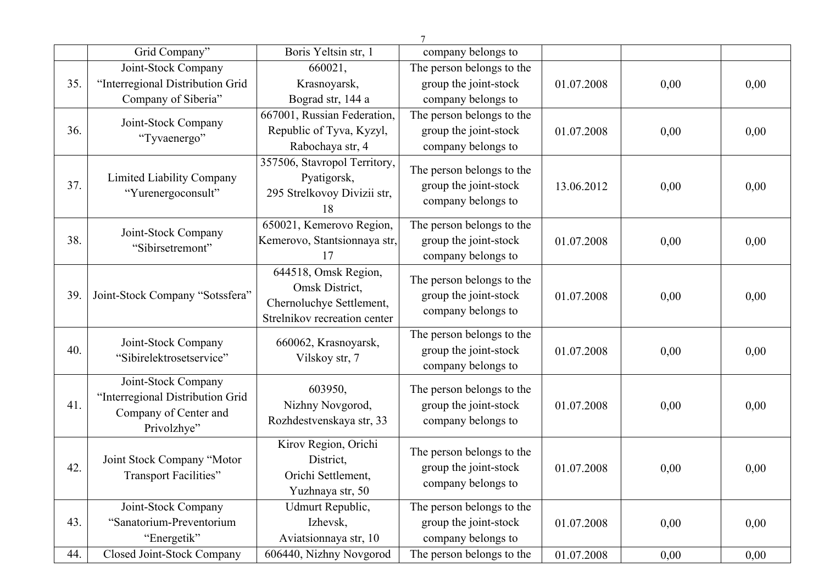|     |                                  |                              | 7                         |            |          |      |
|-----|----------------------------------|------------------------------|---------------------------|------------|----------|------|
|     | Grid Company"                    | Boris Yeltsin str, 1         | company belongs to        |            |          |      |
|     | Joint-Stock Company              | 660021,                      | The person belongs to the |            |          |      |
| 35. | "Interregional Distribution Grid | Krasnoyarsk,                 | group the joint-stock     | 01.07.2008 | 0,00     | 0,00 |
|     | Company of Siberia"              | Bograd str, 144 a            | company belongs to        |            |          |      |
|     | Joint-Stock Company              | 667001, Russian Federation,  | The person belongs to the |            |          |      |
| 36. | "Tyvaenergo"                     | Republic of Tyva, Kyzyl,     | group the joint-stock     | 01.07.2008 | 0,00     | 0,00 |
|     |                                  | Rabochaya str, 4             | company belongs to        |            |          |      |
|     |                                  | 357506, Stavropol Territory, | The person belongs to the |            |          |      |
| 37. | Limited Liability Company        | Pyatigorsk,                  | group the joint-stock     | 13.06.2012 | 0,00     | 0,00 |
|     | "Yurenergoconsult"               | 295 Strelkovoy Divizii str,  | company belongs to        |            |          |      |
|     |                                  | 18                           |                           |            |          |      |
|     | Joint-Stock Company              | 650021, Kemerovo Region,     | The person belongs to the |            |          |      |
| 38. | "Sibirsetremont"                 | Kemerovo, Stantsionnaya str, | group the joint-stock     | 01.07.2008 | 0,00     | 0,00 |
|     |                                  | 17                           | company belongs to        |            |          |      |
|     |                                  | 644518, Omsk Region,         | The person belongs to the |            |          |      |
| 39. | Joint-Stock Company "Sotssfera"  | Omsk District,               | group the joint-stock     | 01.07.2008 | 0,00     | 0,00 |
|     |                                  | Chernoluchye Settlement,     | company belongs to        |            |          |      |
|     |                                  | Strelnikov recreation center |                           |            |          |      |
|     | Joint-Stock Company              | 660062, Krasnoyarsk,         | The person belongs to the |            |          |      |
| 40. | "Sibirelektrosetservice"         | Vilskoy str, 7               | group the joint-stock     | 01.07.2008 | 0,00     | 0,00 |
|     |                                  |                              | company belongs to        |            |          |      |
|     | Joint-Stock Company              | 603950,                      | The person belongs to the |            |          |      |
| 41. | "Interregional Distribution Grid | Nizhny Novgorod,             | group the joint-stock     | 01.07.2008 | 0,00     | 0,00 |
|     | Company of Center and            | Rozhdestvenskaya str, 33     | company belongs to        |            |          |      |
|     | Privolzhye"                      |                              |                           |            |          |      |
|     |                                  | Kirov Region, Orichi         | The person belongs to the |            |          |      |
| 42. | Joint Stock Company "Motor       | District,                    | group the joint-stock     | 01.07.2008 | $0,\!00$ | 0,00 |
|     | <b>Transport Facilities</b> "    | Orichi Settlement,           | company belongs to        |            |          |      |
|     |                                  | Yuzhnaya str, 50             |                           |            |          |      |
|     | Joint-Stock Company              | Udmurt Republic,             | The person belongs to the |            |          |      |
| 43. | "Sanatorium-Preventorium         | Izhevsk,                     | group the joint-stock     | 01.07.2008 | 0,00     | 0,00 |
|     | "Energetik"                      | Aviatsionnaya str, 10        | company belongs to        |            |          |      |
| 44. | Closed Joint-Stock Company       | 606440, Nizhny Novgorod      | The person belongs to the | 01.07.2008 | 0,00     | 0,00 |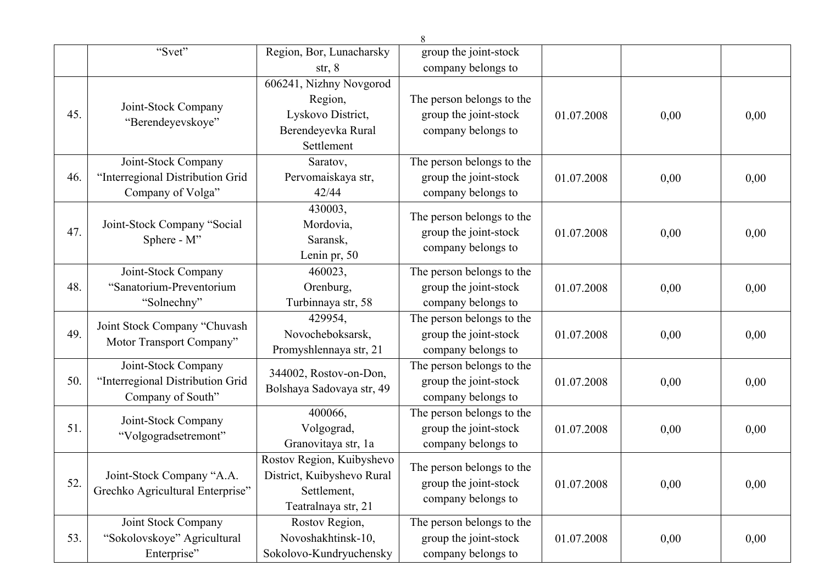|     |                                                                              |                                                                                               | $8\,$                                                                    |            |      |      |
|-----|------------------------------------------------------------------------------|-----------------------------------------------------------------------------------------------|--------------------------------------------------------------------------|------------|------|------|
|     | "Svet"                                                                       | Region, Bor, Lunacharsky                                                                      | group the joint-stock                                                    |            |      |      |
|     |                                                                              | str, 8                                                                                        | company belongs to                                                       |            |      |      |
| 45. | Joint-Stock Company<br>"Berendeyevskoye"                                     | 606241, Nizhny Novgorod<br>Region,<br>Lyskovo District,<br>Berendeyevka Rural<br>Settlement   | The person belongs to the<br>group the joint-stock<br>company belongs to | 01.07.2008 | 0,00 | 0,00 |
| 46. | Joint-Stock Company<br>"Interregional Distribution Grid<br>Company of Volga" | Saratov,<br>Pervomaiskaya str,<br>42/44                                                       | The person belongs to the<br>group the joint-stock<br>company belongs to | 01.07.2008 | 0,00 | 0,00 |
| 47. | Joint-Stock Company "Social<br>Sphere - M"                                   | 430003,<br>Mordovia,<br>Saransk,<br>Lenin pr, 50                                              | The person belongs to the<br>group the joint-stock<br>company belongs to | 01.07.2008 | 0,00 | 0,00 |
| 48. | Joint-Stock Company<br>"Sanatorium-Preventorium<br>"Solnechny"               | 460023,<br>Orenburg,<br>Turbinnaya str, 58                                                    | The person belongs to the<br>group the joint-stock<br>company belongs to | 01.07.2008 | 0,00 | 0,00 |
| 49. | Joint Stock Company "Chuvash<br>Motor Transport Company"                     | 429954.<br>Novocheboksarsk,<br>Promyshlennaya str, 21                                         | The person belongs to the<br>group the joint-stock<br>company belongs to | 01.07.2008 | 0,00 | 0,00 |
| 50. | Joint-Stock Company<br>"Interregional Distribution Grid<br>Company of South" | 344002, Rostov-on-Don,<br>Bolshaya Sadovaya str, 49                                           | The person belongs to the<br>group the joint-stock<br>company belongs to | 01.07.2008 | 0,00 | 0,00 |
| 51. | Joint-Stock Company<br>"Volgogradsetremont"                                  | 400066,<br>Volgograd,<br>Granovitaya str, 1a                                                  | The person belongs to the<br>group the joint-stock<br>company belongs to | 01.07.2008 | 0,00 | 0,00 |
| 52. | Joint-Stock Company "A.A.<br>Grechko Agricultural Enterprise"                | Rostov Region, Kuibyshevo<br>District, Kuibyshevo Rural<br>Settlement,<br>Teatralnaya str, 21 | The person belongs to the<br>group the joint-stock<br>company belongs to | 01.07.2008 | 0,00 | 0,00 |
| 53. | Joint Stock Company<br>"Sokolovskoye" Agricultural<br>Enterprise"            | Rostov Region,<br>Novoshakhtinsk-10,<br>Sokolovo-Kundryuchensky                               | The person belongs to the<br>group the joint-stock<br>company belongs to | 01.07.2008 | 0,00 | 0,00 |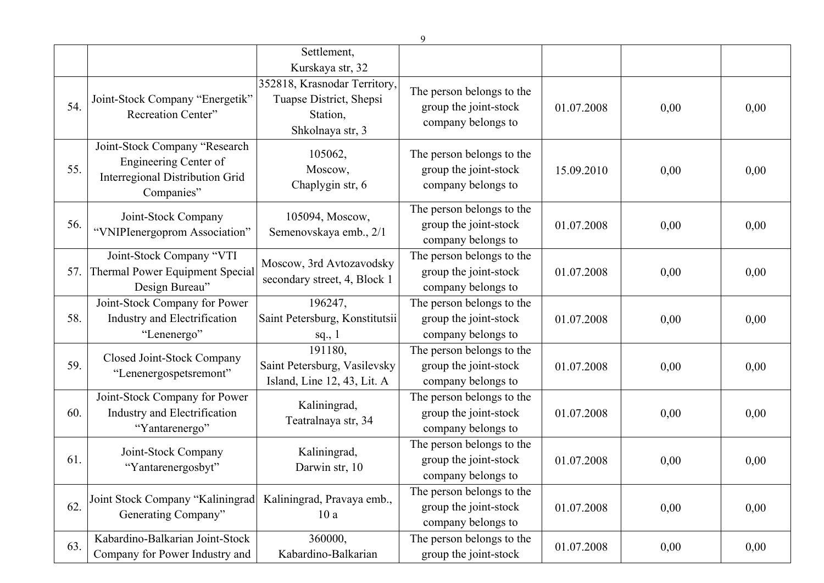|      |                                                                                                         | Settlement,<br>Kurskaya str, 32                                                         |                                                                          |            |      |      |
|------|---------------------------------------------------------------------------------------------------------|-----------------------------------------------------------------------------------------|--------------------------------------------------------------------------|------------|------|------|
| 54.  | Joint-Stock Company "Energetik"<br>Recreation Center"                                                   | 352818, Krasnodar Territory,<br>Tuapse District, Shepsi<br>Station,<br>Shkolnaya str, 3 | The person belongs to the<br>group the joint-stock<br>company belongs to | 01.07.2008 | 0,00 | 0,00 |
| 55.  | Joint-Stock Company "Research<br>Engineering Center of<br>Interregional Distribution Grid<br>Companies" | 105062,<br>Moscow,<br>Chaplygin str, 6                                                  | The person belongs to the<br>group the joint-stock<br>company belongs to | 15.09.2010 | 0,00 | 0,00 |
| 56.  | Joint-Stock Company<br>"VNIPIenergoprom Association"                                                    | 105094, Moscow,<br>Semenovskaya emb., 2/1                                               | The person belongs to the<br>group the joint-stock<br>company belongs to | 01.07.2008 | 0,00 | 0,00 |
| 57.1 | Joint-Stock Company "VTI<br>Thermal Power Equipment Special<br>Design Bureau"                           | Moscow, 3rd Avtozavodsky<br>secondary street, 4, Block 1                                | The person belongs to the<br>group the joint-stock<br>company belongs to | 01.07.2008 | 0,00 | 0,00 |
| 58.  | Joint-Stock Company for Power<br>Industry and Electrification<br>"Lenenergo"                            | 196247,<br>Saint Petersburg, Konstitutsii<br>sq., $1$                                   | The person belongs to the<br>group the joint-stock<br>company belongs to | 01.07.2008 | 0,00 | 0,00 |
| 59.  | Closed Joint-Stock Company<br>"Lenenergospetsremont"                                                    | 191180,<br>Saint Petersburg, Vasilevsky<br>Island, Line 12, 43, Lit. A                  | The person belongs to the<br>group the joint-stock<br>company belongs to | 01.07.2008 | 0,00 | 0,00 |
| 60.  | Joint-Stock Company for Power<br>Industry and Electrification<br>"Yantarenergo"                         | Kaliningrad,<br>Teatralnaya str, 34                                                     | The person belongs to the<br>group the joint-stock<br>company belongs to | 01.07.2008 | 0,00 | 0,00 |
| 61.  | Joint-Stock Company<br>"Yantarenergosbyt"                                                               | Kaliningrad,<br>Darwin str, 10                                                          | The person belongs to the<br>group the joint-stock<br>company belongs to | 01.07.2008 | 0,00 | 0,00 |
| 62.  | Joint Stock Company "Kaliningrad<br>Generating Company"                                                 | Kaliningrad, Pravaya emb.,<br>10a                                                       | The person belongs to the<br>group the joint-stock<br>company belongs to | 01.07.2008 | 0,00 | 0,00 |
| 63.  | Kabardino-Balkarian Joint-Stock<br>Company for Power Industry and                                       | 360000,<br>Kabardino-Balkarian                                                          | The person belongs to the<br>group the joint-stock                       | 01.07.2008 | 0,00 | 0,00 |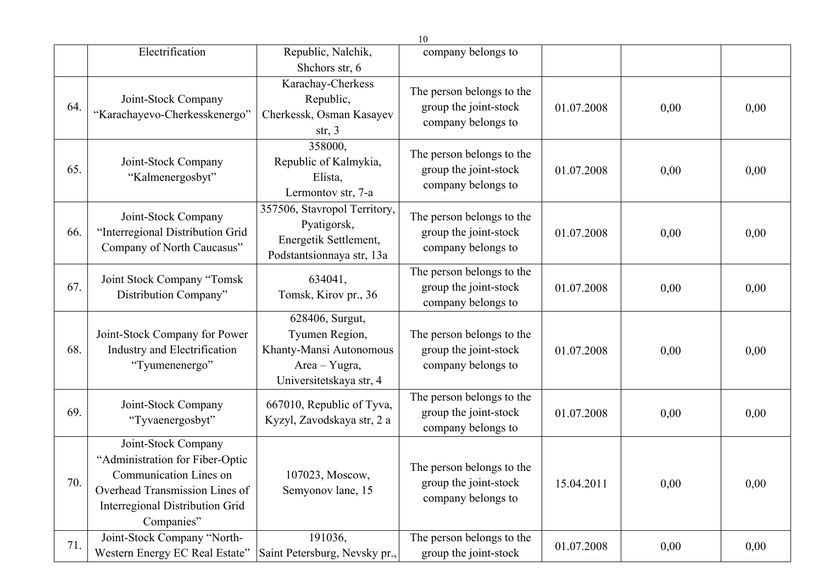|     |                                                                                                                                                                     |                                                                                                          | 10                                                                       |            |      |      |
|-----|---------------------------------------------------------------------------------------------------------------------------------------------------------------------|----------------------------------------------------------------------------------------------------------|--------------------------------------------------------------------------|------------|------|------|
|     | Electrification                                                                                                                                                     | Republic, Nalchik,                                                                                       | company belongs to                                                       |            |      |      |
|     |                                                                                                                                                                     | Shchors str, 6                                                                                           |                                                                          |            |      |      |
| 64. | Joint-Stock Company<br>"Karachayevo-Cherkesskenergo"                                                                                                                | Karachay-Cherkess<br>Republic,<br>Cherkessk, Osman Kasayev<br>str, $3$                                   | The person belongs to the<br>group the joint-stock<br>company belongs to | 01.07.2008 | 0,00 | 0,00 |
| 65. | Joint-Stock Company<br>"Kalmenergosbyt"                                                                                                                             | 358000,<br>Republic of Kalmykia,<br>Elista,<br>Lermontov str, 7-a                                        | The person belongs to the<br>group the joint-stock<br>company belongs to | 01.07.2008 | 0,00 | 0,00 |
| 66. | Joint-Stock Company<br>"Interregional Distribution Grid<br>Company of North Caucasus"                                                                               | 357506, Stavropol Territory,<br>Pyatigorsk,<br>Energetik Settlement,<br>Podstantsionnaya str, 13a        | The person belongs to the<br>group the joint-stock<br>company belongs to | 01.07.2008 | 0,00 | 0,00 |
| 67. | Joint Stock Company "Tomsk<br>Distribution Company"                                                                                                                 | 634041,<br>Tomsk, Kirov pr., 36                                                                          | The person belongs to the<br>group the joint-stock<br>company belongs to | 01.07.2008 | 0,00 | 0,00 |
| 68. | Joint-Stock Company for Power<br>Industry and Electrification<br>"Tyumenenergo"                                                                                     | 628406, Surgut,<br>Tyumen Region,<br>Khanty-Mansi Autonomous<br>Area - Yugra,<br>Universitetskaya str, 4 | The person belongs to the<br>group the joint-stock<br>company belongs to | 01.07.2008 | 0,00 | 0,00 |
| 69. | Joint-Stock Company<br>"Tyvaenergosbyt"                                                                                                                             | 667010, Republic of Tyva,<br>Kyzyl, Zavodskaya str, 2 a                                                  | The person belongs to the<br>group the joint-stock<br>company belongs to | 01.07.2008 | 0,00 | 0,00 |
| 70. | Joint-Stock Company<br>"Administration for Fiber-Optic<br>Communication Lines on<br>Overhead Transmission Lines of<br>Interregional Distribution Grid<br>Companies" | 107023, Moscow,<br>Semyonov lane, 15                                                                     | The person belongs to the<br>group the joint-stock<br>company belongs to | 15.04.2011 | 0,00 | 0,00 |
| 71. | Joint-Stock Company "North-<br>Western Energy EC Real Estate"                                                                                                       | 191036,<br>Saint Petersburg, Nevsky pr.,                                                                 | The person belongs to the<br>group the joint-stock                       | 01.07.2008 | 0,00 | 0,00 |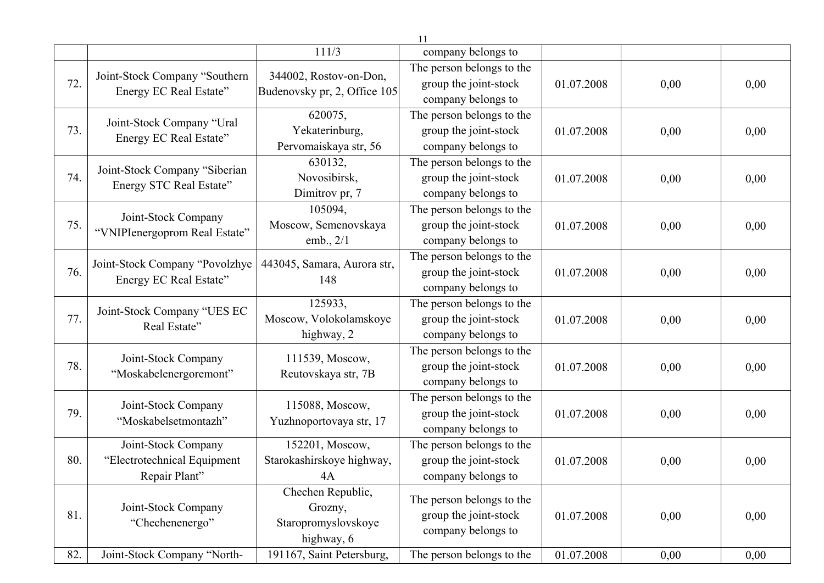|     |                                                                     |                                                                   | 11                                                                       |            |      |      |
|-----|---------------------------------------------------------------------|-------------------------------------------------------------------|--------------------------------------------------------------------------|------------|------|------|
|     |                                                                     | 111/3                                                             | company belongs to                                                       |            |      |      |
| 72. | Joint-Stock Company "Southern<br>Energy EC Real Estate"             | 344002, Rostov-on-Don,<br>Budenovsky pr, 2, Office 105            | The person belongs to the<br>group the joint-stock<br>company belongs to | 01.07.2008 | 0,00 | 0,00 |
| 73. | Joint-Stock Company "Ural<br>Energy EC Real Estate"                 | 620075,<br>Yekaterinburg,<br>Pervomaiskaya str, 56                | The person belongs to the<br>group the joint-stock<br>company belongs to | 01.07.2008 | 0,00 | 0,00 |
| 74. | Joint-Stock Company "Siberian<br>Energy STC Real Estate"            | 630132,<br>Novosibirsk,<br>Dimitrov pr, 7                         | The person belongs to the<br>group the joint-stock<br>company belongs to | 01.07.2008 | 0,00 | 0,00 |
| 75. | Joint-Stock Company<br>"VNIPIenergoprom Real Estate"                | 105094,<br>Moscow, Semenovskaya<br>emb., $2/1$                    | The person belongs to the<br>group the joint-stock<br>company belongs to | 01.07.2008 | 0,00 | 0,00 |
| 76. | Joint-Stock Company "Povolzhye<br>Energy EC Real Estate"            | 443045, Samara, Aurora str,<br>148                                | The person belongs to the<br>group the joint-stock<br>company belongs to | 01.07.2008 | 0,00 | 0,00 |
| 77. | Joint-Stock Company "UES EC<br>Real Estate"                         | 125933,<br>Moscow, Volokolamskoye<br>highway, 2                   | The person belongs to the<br>group the joint-stock<br>company belongs to | 01.07.2008 | 0,00 | 0,00 |
| 78. | Joint-Stock Company<br>"Moskabelenergoremont"                       | 111539, Moscow,<br>Reutovskaya str, 7B                            | The person belongs to the<br>group the joint-stock<br>company belongs to | 01.07.2008 | 0,00 | 0,00 |
| 79. | Joint-Stock Company<br>"Moskabelsetmontazh"                         | 115088, Moscow,<br>Yuzhnoportovaya str, 17                        | The person belongs to the<br>group the joint-stock<br>company belongs to | 01.07.2008 | 0,00 | 0,00 |
| 80. | Joint-Stock Company<br>"Electrotechnical Equipment<br>Repair Plant" | 152201, Moscow,<br>Starokashirskoye highway,<br>4A                | The person belongs to the<br>group the joint-stock<br>company belongs to | 01.07.2008 | 0,00 | 0,00 |
| 81. | Joint-Stock Company<br>"Chechenenergo"                              | Chechen Republic,<br>Grozny,<br>Staropromyslovskoye<br>highway, 6 | The person belongs to the<br>group the joint-stock<br>company belongs to | 01.07.2008 | 0,00 | 0,00 |
| 82. | Joint-Stock Company "North-                                         | 191167, Saint Petersburg,                                         | The person belongs to the                                                | 01.07.2008 | 0,00 | 0,00 |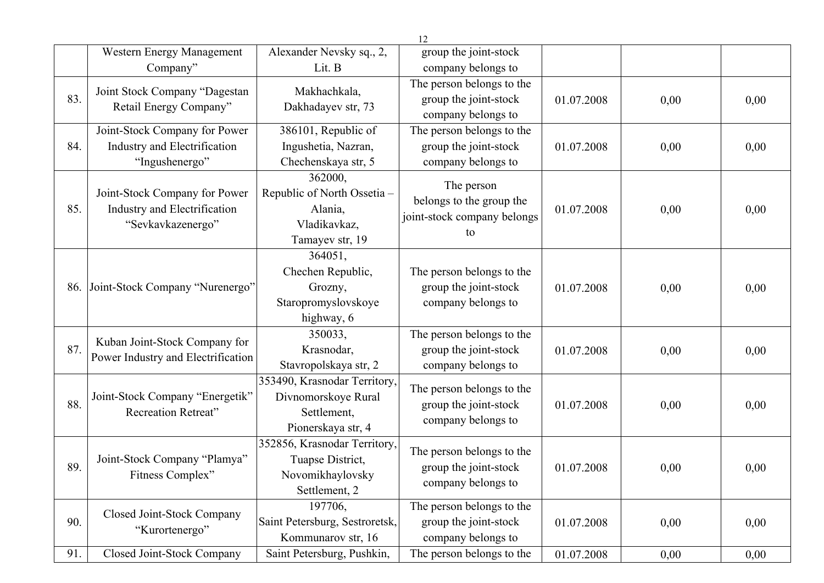|     |                                                                                    |                                                                                          | 12                                                                          |            |      |      |
|-----|------------------------------------------------------------------------------------|------------------------------------------------------------------------------------------|-----------------------------------------------------------------------------|------------|------|------|
|     | Western Energy Management                                                          | Alexander Nevsky sq., 2,                                                                 | group the joint-stock                                                       |            |      |      |
|     | Company"                                                                           | Lit. B                                                                                   | company belongs to                                                          |            |      |      |
| 83. | Joint Stock Company "Dagestan<br>Retail Energy Company"                            | Makhachkala,<br>Dakhadayev str, 73                                                       | The person belongs to the<br>group the joint-stock<br>company belongs to    | 01.07.2008 | 0,00 | 0,00 |
| 84. | Joint-Stock Company for Power<br>Industry and Electrification<br>"Ingushenergo"    | 386101, Republic of<br>Ingushetia, Nazran,<br>Chechenskaya str, 5                        | The person belongs to the<br>group the joint-stock<br>company belongs to    | 01.07.2008 | 0,00 | 0,00 |
| 85. | Joint-Stock Company for Power<br>Industry and Electrification<br>"Sevkavkazenergo" | 362000,<br>Republic of North Ossetia -<br>Alania,<br>Vladikavkaz,<br>Tamayev str, 19     | The person<br>belongs to the group the<br>joint-stock company belongs<br>to | 01.07.2008 | 0,00 | 0,00 |
| 86. | Joint-Stock Company "Nurenergo"                                                    | 364051,<br>Chechen Republic,<br>Grozny,<br>Staropromyslovskoye<br>highway, 6             | The person belongs to the<br>group the joint-stock<br>company belongs to    | 01.07.2008 | 0,00 | 0,00 |
| 87. | Kuban Joint-Stock Company for<br>Power Industry and Electrification                | 350033,<br>Krasnodar,<br>Stavropolskaya str, 2                                           | The person belongs to the<br>group the joint-stock<br>company belongs to    | 01.07.2008 | 0,00 | 0,00 |
| 88. | Joint-Stock Company "Energetik"<br><b>Recreation Retreat"</b>                      | 353490, Krasnodar Territory,<br>Divnomorskoye Rural<br>Settlement,<br>Pionerskaya str, 4 | The person belongs to the<br>group the joint-stock<br>company belongs to    | 01.07.2008 | 0,00 | 0,00 |
| 89. | Joint-Stock Company "Plamya"<br>Fitness Complex"                                   | 352856, Krasnodar Territory,<br>Tuapse District,<br>Novomikhaylovsky<br>Settlement, 2    | The person belongs to the<br>group the joint-stock<br>company belongs to    | 01.07.2008 | 0,00 | 0,00 |
| 90. | Closed Joint-Stock Company<br>"Kurortenergo"                                       | 197706,<br>Saint Petersburg, Sestroretsk,<br>Kommunarov str, 16                          | The person belongs to the<br>group the joint-stock<br>company belongs to    | 01.07.2008 | 0,00 | 0,00 |
| 91. | Closed Joint-Stock Company                                                         | Saint Petersburg, Pushkin,                                                               | The person belongs to the                                                   | 01.07.2008 | 0,00 | 0,00 |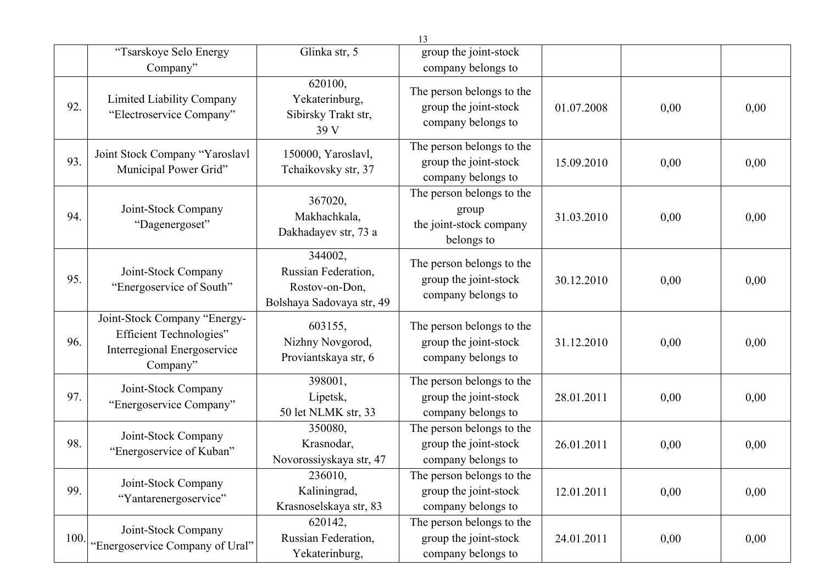|      |                                                                                                           |                                                                               | 13                                                                          |            |      |      |
|------|-----------------------------------------------------------------------------------------------------------|-------------------------------------------------------------------------------|-----------------------------------------------------------------------------|------------|------|------|
|      | "Tsarskoye Selo Energy                                                                                    | Glinka str, 5                                                                 | group the joint-stock                                                       |            |      |      |
|      | Company"                                                                                                  |                                                                               | company belongs to                                                          |            |      |      |
| 92.  | Limited Liability Company<br>"Electroservice Company"                                                     | 620100,<br>Yekaterinburg,<br>Sibirsky Trakt str,<br>39 V                      | The person belongs to the<br>group the joint-stock<br>company belongs to    | 01.07.2008 | 0,00 | 0,00 |
| 93.  | Joint Stock Company "Yaroslavl<br>Municipal Power Grid"                                                   | 150000, Yaroslavl,<br>Tchaikovsky str, 37                                     | The person belongs to the<br>group the joint-stock<br>company belongs to    | 15.09.2010 | 0,00 | 0,00 |
| 94.  | Joint-Stock Company<br>"Dagenergoset"                                                                     | 367020,<br>Makhachkala,<br>Dakhadayev str, 73 a                               | The person belongs to the<br>group<br>the joint-stock company<br>belongs to | 31.03.2010 | 0,00 | 0,00 |
| 95.  | Joint-Stock Company<br>"Energoservice of South"                                                           | 344002,<br>Russian Federation,<br>Rostov-on-Don,<br>Bolshaya Sadovaya str, 49 | The person belongs to the<br>group the joint-stock<br>company belongs to    | 30.12.2010 | 0,00 | 0,00 |
| 96.  | Joint-Stock Company "Energy-<br><b>Efficient Technologies"</b><br>Interregional Energoservice<br>Company" | 603155,<br>Nizhny Novgorod,<br>Proviantskaya str, 6                           | The person belongs to the<br>group the joint-stock<br>company belongs to    | 31.12.2010 | 0,00 | 0,00 |
| 97.  | Joint-Stock Company<br>"Energoservice Company"                                                            | 398001,<br>Lipetsk,<br>50 let NLMK str, 33                                    | The person belongs to the<br>group the joint-stock<br>company belongs to    | 28.01.2011 | 0,00 | 0,00 |
| 98.  | Joint-Stock Company<br>"Energoservice of Kuban"                                                           | 350080,<br>Krasnodar,<br>Novorossiyskaya str, 47                              | The person belongs to the<br>group the joint-stock<br>company belongs to    | 26.01.2011 | 0,00 | 0,00 |
| 99.  | Joint-Stock Company<br>"Yantarenergoservice"                                                              | 236010,<br>Kaliningrad,<br>Krasnoselskaya str, 83                             | The person belongs to the<br>group the joint-stock<br>company belongs to    | 12.01.2011 | 0,00 | 0,00 |
| 100. | Joint-Stock Company<br>"Energoservice Company of Ural"                                                    | 620142,<br>Russian Federation,<br>Yekaterinburg,                              | The person belongs to the<br>group the joint-stock<br>company belongs to    | 24.01.2011 | 0,00 | 0,00 |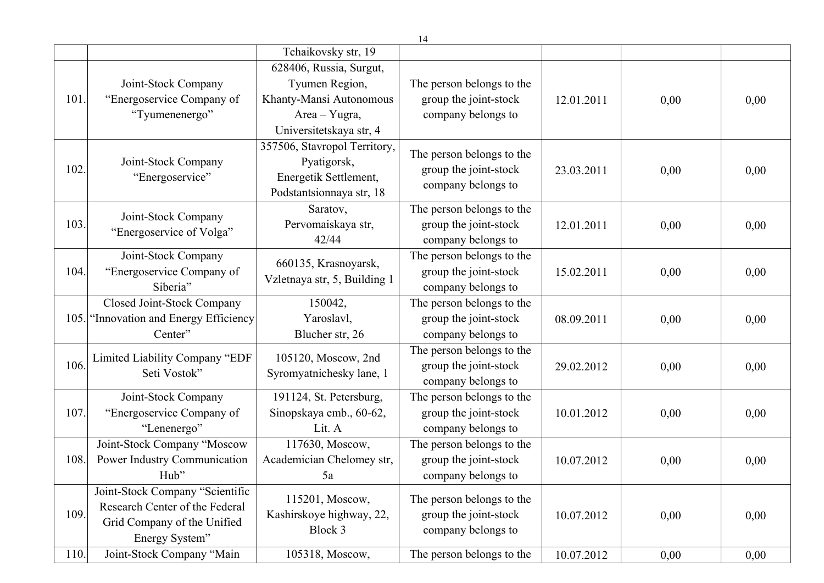|      |                                                                                                                    |                                                                                                                  | 14                                                                       |            |      |      |
|------|--------------------------------------------------------------------------------------------------------------------|------------------------------------------------------------------------------------------------------------------|--------------------------------------------------------------------------|------------|------|------|
|      |                                                                                                                    | Tchaikovsky str, 19                                                                                              |                                                                          |            |      |      |
| 101  | Joint-Stock Company<br>"Energoservice Company of<br>"Tyumenenergo"                                                 | 628406, Russia, Surgut,<br>Tyumen Region,<br>Khanty-Mansi Autonomous<br>Area - Yugra,<br>Universitetskaya str, 4 | The person belongs to the<br>group the joint-stock<br>company belongs to | 12.01.2011 | 0,00 | 0,00 |
| 102. | Joint-Stock Company<br>"Energoservice"                                                                             | 357506, Stavropol Territory,<br>Pyatigorsk,<br>Energetik Settlement,<br>Podstantsionnaya str, 18                 | The person belongs to the<br>group the joint-stock<br>company belongs to | 23.03.2011 | 0,00 | 0,00 |
| 103. | Joint-Stock Company<br>"Energoservice of Volga"                                                                    | Saratov,<br>Pervomaiskaya str,<br>42/44                                                                          | The person belongs to the<br>group the joint-stock<br>company belongs to | 12.01.2011 | 0,00 | 0,00 |
| 104. | Joint-Stock Company<br>"Energoservice Company of<br>Siberia"                                                       | 660135, Krasnoyarsk,<br>Vzletnaya str, 5, Building 1                                                             | The person belongs to the<br>group the joint-stock<br>company belongs to | 15.02.2011 | 0,00 | 0,00 |
| 105. | Closed Joint-Stock Company<br>'Innovation and Energy Efficiency<br>Center"                                         | 150042,<br>Yaroslavl,<br>Blucher str, 26                                                                         | The person belongs to the<br>group the joint-stock<br>company belongs to | 08.09.2011 | 0,00 | 0,00 |
| 106. | Limited Liability Company "EDF<br>Seti Vostok"                                                                     | 105120, Moscow, 2nd<br>Syromyatnichesky lane, 1                                                                  | The person belongs to the<br>group the joint-stock<br>company belongs to | 29.02.2012 | 0,00 | 0,00 |
| 107  | Joint-Stock Company<br>"Energoservice Company of<br>"Lenenergo"                                                    | 191124, St. Petersburg,<br>Sinopskaya emb., 60-62,<br>Lit. A                                                     | The person belongs to the<br>group the joint-stock<br>company belongs to | 10.01.2012 | 0,00 | 0,00 |
| 108. | Joint-Stock Company "Moscow<br>Power Industry Communication<br>Hub"                                                | 117630, Moscow,<br>Academician Chelomey str,<br>5a                                                               | The person belongs to the<br>group the joint-stock<br>company belongs to | 10.07.2012 | 0,00 | 0,00 |
| 109. | Joint-Stock Company "Scientific<br>Research Center of the Federal<br>Grid Company of the Unified<br>Energy System" | 115201, Moscow,<br>Kashirskoye highway, 22,<br>Block 3                                                           | The person belongs to the<br>group the joint-stock<br>company belongs to | 10.07.2012 | 0,00 | 0,00 |
| 110. | Joint-Stock Company "Main                                                                                          | 105318, Moscow,                                                                                                  | The person belongs to the                                                | 10.07.2012 | 0,00 | 0,00 |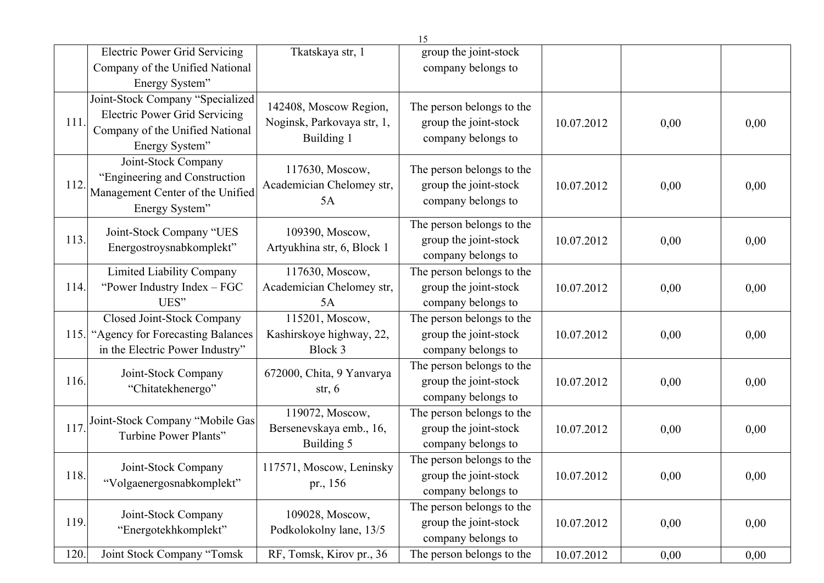|      |                                                                                                                               |                                                                    | 15                                                                       |            |      |      |
|------|-------------------------------------------------------------------------------------------------------------------------------|--------------------------------------------------------------------|--------------------------------------------------------------------------|------------|------|------|
|      | <b>Electric Power Grid Servicing</b>                                                                                          | Tkatskaya str, 1                                                   | group the joint-stock                                                    |            |      |      |
|      | Company of the Unified National                                                                                               |                                                                    | company belongs to                                                       |            |      |      |
|      | Energy System"                                                                                                                |                                                                    |                                                                          |            |      |      |
| 111. | Joint-Stock Company "Specialized<br><b>Electric Power Grid Servicing</b><br>Company of the Unified National<br>Energy System" | 142408, Moscow Region,<br>Noginsk, Parkovaya str, 1,<br>Building 1 | The person belongs to the<br>group the joint-stock<br>company belongs to | 10.07.2012 | 0,00 | 0,00 |
| 112. | Joint-Stock Company<br>"Engineering and Construction<br>Management Center of the Unified<br>Energy System"                    | 117630, Moscow,<br>Academician Chelomey str,<br>5A                 | The person belongs to the<br>group the joint-stock<br>company belongs to | 10.07.2012 | 0,00 | 0,00 |
| 113. | Joint-Stock Company "UES<br>Energostroysnabkomplekt"                                                                          | 109390, Moscow,<br>Artyukhina str, 6, Block 1                      | The person belongs to the<br>group the joint-stock<br>company belongs to | 10.07.2012 | 0,00 | 0,00 |
| 114. | <b>Limited Liability Company</b><br>"Power Industry Index - FGC<br>UES"                                                       | 117630, Moscow,<br>Academician Chelomey str,<br>5A                 | The person belongs to the<br>group the joint-stock<br>company belongs to | 10.07.2012 | 0,00 | 0,00 |
| 115. | Closed Joint-Stock Company<br>"Agency for Forecasting Balances<br>in the Electric Power Industry"                             | 115201, Moscow,<br>Kashirskoye highway, 22,<br>Block 3             | The person belongs to the<br>group the joint-stock<br>company belongs to | 10.07.2012 | 0,00 | 0,00 |
| 116. | Joint-Stock Company<br>"Chitatekhenergo"                                                                                      | 672000, Chita, 9 Yanvarya<br>str, $6$                              | The person belongs to the<br>group the joint-stock<br>company belongs to | 10.07.2012 | 0,00 | 0,00 |
| 117. | Joint-Stock Company "Mobile Gas<br>Turbine Power Plants"                                                                      | 119072, Moscow,<br>Bersenevskaya emb., 16,<br>Building 5           | The person belongs to the<br>group the joint-stock<br>company belongs to | 10.07.2012 | 0,00 | 0,00 |
| 118. | Joint-Stock Company<br>"Volgaenergosnabkomplekt"                                                                              | 117571, Moscow, Leninsky<br>pr., 156                               | The person belongs to the<br>group the joint-stock<br>company belongs to | 10.07.2012 | 0,00 | 0,00 |
| 119. | Joint-Stock Company<br>"Energotekhkomplekt"                                                                                   | 109028, Moscow,<br>Podkolokolny lane, 13/5                         | The person belongs to the<br>group the joint-stock<br>company belongs to | 10.07.2012 | 0,00 | 0,00 |
| 120. | Joint Stock Company "Tomsk                                                                                                    | RF, Tomsk, Kirov pr., 36                                           | The person belongs to the                                                | 10.07.2012 | 0,00 | 0,00 |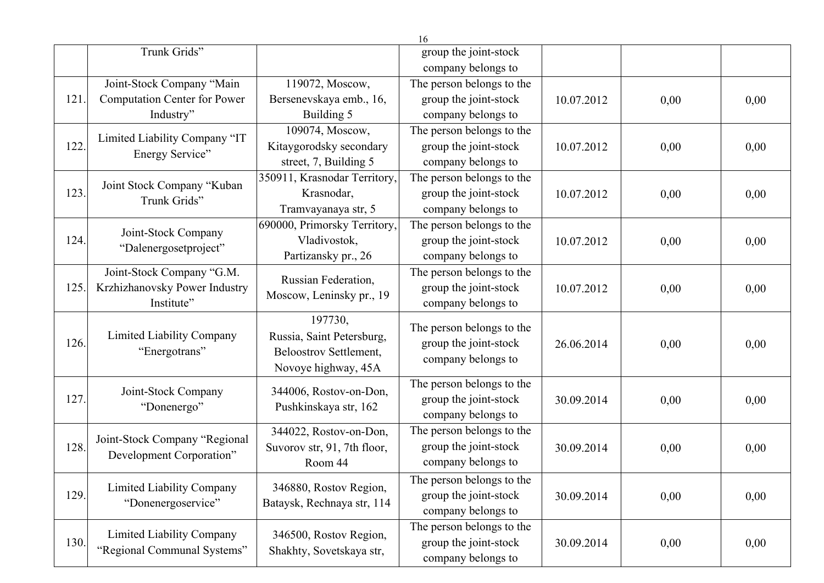|      |                                              |                              | 16                        |            |      |      |
|------|----------------------------------------------|------------------------------|---------------------------|------------|------|------|
|      | Trunk Grids"                                 |                              | group the joint-stock     |            |      |      |
|      |                                              |                              | company belongs to        |            |      |      |
|      | Joint-Stock Company "Main                    | 119072, Moscow,              | The person belongs to the |            |      |      |
| 121  | Computation Center for Power                 | Bersenevskaya emb., 16,      | group the joint-stock     | 10.07.2012 | 0,00 | 0,00 |
|      | Industry"                                    | Building 5                   | company belongs to        |            |      |      |
|      | Limited Liability Company "IT                | 109074, Moscow,              | The person belongs to the |            |      |      |
| 122. | Energy Service"                              | Kitaygorodsky secondary      | group the joint-stock     | 10.07.2012 | 0,00 | 0,00 |
|      |                                              | street, 7, Building 5        | company belongs to        |            |      |      |
|      | Joint Stock Company "Kuban                   | 350911, Krasnodar Territory, | The person belongs to the |            |      |      |
| 123. | Trunk Grids"                                 | Krasnodar,                   | group the joint-stock     | 10.07.2012 | 0,00 | 0,00 |
|      |                                              | Tramvayanaya str, 5          | company belongs to        |            |      |      |
|      |                                              | 690000, Primorsky Territory, | The person belongs to the |            |      |      |
| 124. | Joint-Stock Company<br>"Dalenergosetproject" | Vladivostok,                 | group the joint-stock     | 10.07.2012 | 0,00 | 0,00 |
|      |                                              | Partizansky pr., 26          | company belongs to        |            |      |      |
|      | Joint-Stock Company "G.M.                    | Russian Federation,          | The person belongs to the |            |      |      |
| 125. | Krzhizhanovsky Power Industry                | Moscow, Leninsky pr., 19     | group the joint-stock     | 10.07.2012 | 0,00 | 0,00 |
|      | Institute"                                   |                              | company belongs to        |            |      |      |
|      |                                              | 197730,                      | The person belongs to the |            |      |      |
| 126. | Limited Liability Company<br>"Energotrans"   | Russia, Saint Petersburg,    | group the joint-stock     | 26.06.2014 | 0,00 | 0,00 |
|      |                                              | Beloostrov Settlement,       | company belongs to        |            |      |      |
|      |                                              | Novoye highway, 45A          |                           |            |      |      |
|      | Joint-Stock Company                          | 344006, Rostov-on-Don,       | The person belongs to the |            |      |      |
| 127. | "Donenergo"                                  |                              | group the joint-stock     | 30.09.2014 | 0,00 | 0,00 |
|      |                                              | Pushkinskaya str, 162        | company belongs to        |            |      |      |
|      |                                              | 344022, Rostov-on-Don,       | The person belongs to the |            |      |      |
| 128. | Joint-Stock Company "Regional                | Suvorov str, 91, 7th floor,  | group the joint-stock     | 30.09.2014 | 0,00 | 0,00 |
|      | Development Corporation"                     | Room 44                      | company belongs to        |            |      |      |
|      |                                              |                              | The person belongs to the |            |      |      |
| 129. | Limited Liability Company                    | 346880, Rostov Region,       | group the joint-stock     | 30.09.2014 | 0,00 | 0,00 |
|      | "Donenergoservice"                           | Bataysk, Rechnaya str, 114   | company belongs to        |            |      |      |
|      |                                              |                              | The person belongs to the |            |      |      |
| 130. | Limited Liability Company                    | 346500, Rostov Region,       | group the joint-stock     | 30.09.2014 | 0,00 | 0,00 |
|      | "Regional Communal Systems"                  | Shakhty, Sovetskaya str,     | company belongs to        |            |      |      |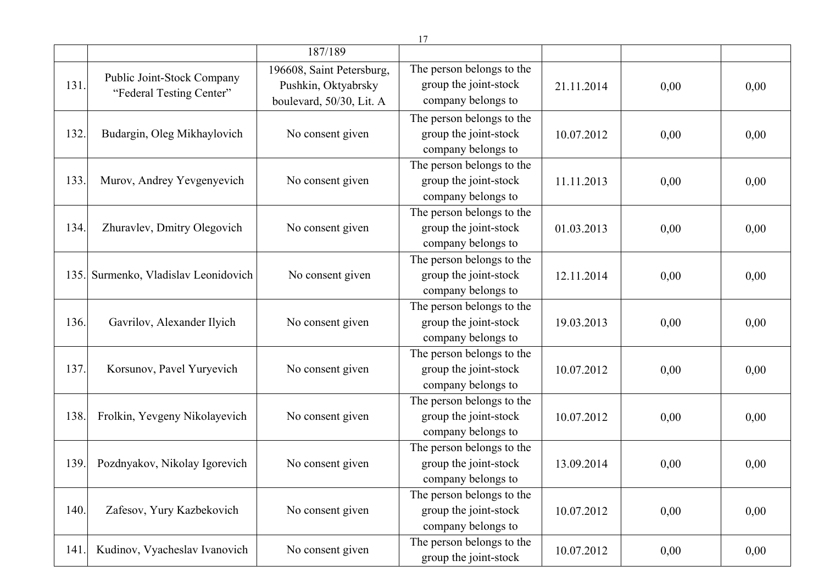|      |                                                        |                                                                              | 17                                                                       |            |      |      |
|------|--------------------------------------------------------|------------------------------------------------------------------------------|--------------------------------------------------------------------------|------------|------|------|
|      |                                                        | 187/189                                                                      |                                                                          |            |      |      |
| 131. | Public Joint-Stock Company<br>"Federal Testing Center" | 196608, Saint Petersburg,<br>Pushkin, Oktyabrsky<br>boulevard, 50/30, Lit. A | The person belongs to the<br>group the joint-stock<br>company belongs to | 21.11.2014 | 0,00 | 0,00 |
| 132. | Budargin, Oleg Mikhaylovich                            | No consent given                                                             | The person belongs to the<br>group the joint-stock<br>company belongs to | 10.07.2012 | 0,00 | 0,00 |
| 133. | Murov, Andrey Yevgenyevich                             | No consent given                                                             | The person belongs to the<br>group the joint-stock<br>company belongs to | 11.11.2013 | 0,00 | 0,00 |
| 134. | Zhuravlev, Dmitry Olegovich                            | No consent given                                                             | The person belongs to the<br>group the joint-stock<br>company belongs to | 01.03.2013 | 0,00 | 0,00 |
|      | 135. Surmenko, Vladislav Leonidovich                   | No consent given                                                             | The person belongs to the<br>group the joint-stock<br>company belongs to | 12.11.2014 | 0,00 | 0,00 |
| 136. | Gavrilov, Alexander Ilyich                             | No consent given                                                             | The person belongs to the<br>group the joint-stock<br>company belongs to | 19.03.2013 | 0,00 | 0,00 |
| 137. | Korsunov, Pavel Yuryevich                              | No consent given                                                             | The person belongs to the<br>group the joint-stock<br>company belongs to | 10.07.2012 | 0,00 | 0,00 |
| 138. | Frolkin, Yevgeny Nikolayevich                          | No consent given                                                             | The person belongs to the<br>group the joint-stock<br>company belongs to | 10.07.2012 | 0,00 | 0,00 |
| 139. | Pozdnyakov, Nikolay Igorevich                          | No consent given                                                             | The person belongs to the<br>group the joint-stock<br>company belongs to | 13.09.2014 | 0,00 | 0,00 |
| 140. | Zafesov, Yury Kazbekovich                              | No consent given                                                             | The person belongs to the<br>group the joint-stock<br>company belongs to | 10.07.2012 | 0,00 | 0,00 |
| 141. | Kudinov, Vyacheslav Ivanovich                          | No consent given                                                             | The person belongs to the<br>group the joint-stock                       | 10.07.2012 | 0,00 | 0,00 |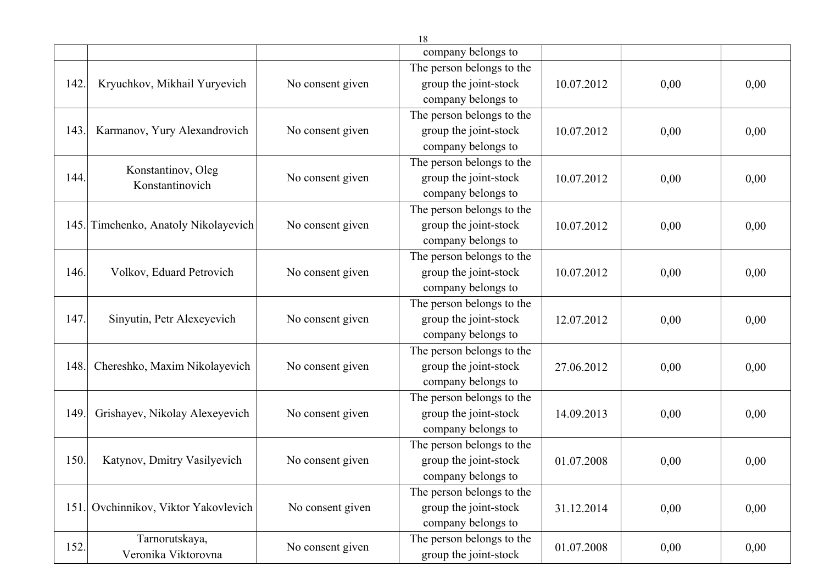|      |                                      |                  | 10                        |            |      |      |
|------|--------------------------------------|------------------|---------------------------|------------|------|------|
|      |                                      |                  | company belongs to        |            |      |      |
|      |                                      |                  | The person belongs to the |            |      |      |
| 142. | Kryuchkov, Mikhail Yuryevich         | No consent given | group the joint-stock     | 10.07.2012 | 0,00 | 0,00 |
|      |                                      |                  | company belongs to        |            |      |      |
|      |                                      |                  | The person belongs to the |            |      |      |
| 143. | Karmanov, Yury Alexandrovich         | No consent given | group the joint-stock     | 10.07.2012 | 0,00 | 0,00 |
|      |                                      |                  | company belongs to        |            |      |      |
|      |                                      |                  | The person belongs to the |            |      |      |
| 144. | Konstantinov, Oleg                   | No consent given | group the joint-stock     | 10.07.2012 | 0,00 | 0,00 |
|      | Konstantinovich                      |                  | company belongs to        |            |      |      |
|      |                                      |                  | The person belongs to the |            |      |      |
|      | 145. Timchenko, Anatoly Nikolayevich | No consent given | group the joint-stock     | 10.07.2012 | 0,00 | 0,00 |
|      |                                      |                  | company belongs to        |            |      |      |
|      |                                      |                  | The person belongs to the |            |      |      |
| 146. | Volkov, Eduard Petrovich             | No consent given | group the joint-stock     | 10.07.2012 | 0,00 | 0,00 |
|      |                                      |                  | company belongs to        |            |      |      |
|      |                                      |                  | The person belongs to the |            |      |      |
| 147. | Sinyutin, Petr Alexeyevich           | No consent given | group the joint-stock     | 12.07.2012 | 0,00 | 0,00 |
|      |                                      |                  | company belongs to        |            |      |      |
|      |                                      |                  | The person belongs to the |            |      |      |
| 148. | Chereshko, Maxim Nikolayevich        | No consent given | group the joint-stock     | 27.06.2012 | 0,00 | 0,00 |
|      |                                      |                  | company belongs to        |            |      |      |
|      |                                      |                  | The person belongs to the |            |      |      |
| 149. | Grishayev, Nikolay Alexeyevich       | No consent given | group the joint-stock     | 14.09.2013 | 0,00 | 0,00 |
|      |                                      |                  | company belongs to        |            |      |      |
|      |                                      |                  | The person belongs to the |            |      |      |
| 150. | Katynov, Dmitry Vasilyevich          | No consent given | group the joint-stock     | 01.07.2008 | 0,00 | 0,00 |
|      |                                      |                  | company belongs to        |            |      |      |
|      |                                      |                  | The person belongs to the |            |      |      |
|      | 151. Ovchinnikov, Viktor Yakovlevich | No consent given | group the joint-stock     | 31.12.2014 | 0,00 | 0,00 |
|      |                                      |                  | company belongs to        |            |      |      |
|      | Tarnorutskaya,                       |                  | The person belongs to the |            |      |      |
| 152. | Veronika Viktorovna                  | No consent given | group the joint-stock     | 01.07.2008 | 0,00 | 0,00 |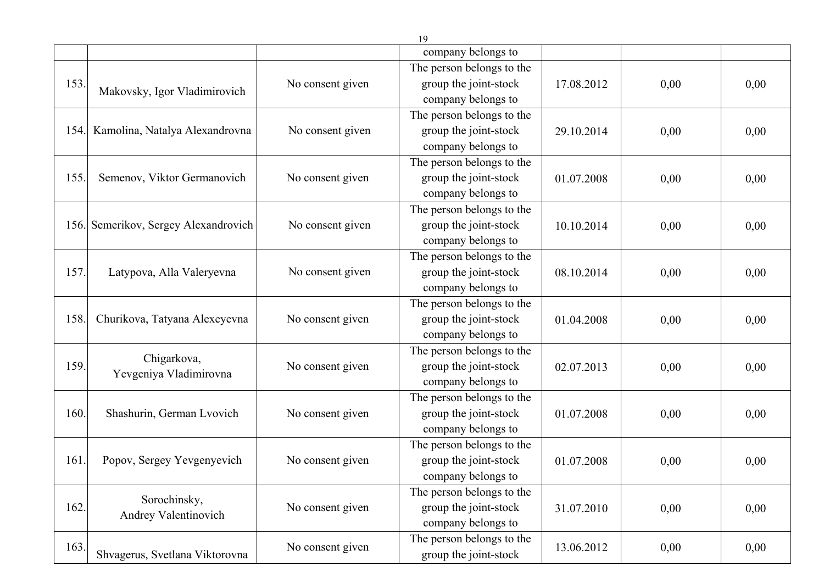|      |                                      |                  | company belongs to        |            |      |      |
|------|--------------------------------------|------------------|---------------------------|------------|------|------|
|      |                                      |                  | The person belongs to the |            |      |      |
| 153. |                                      | No consent given | group the joint-stock     | 17.08.2012 | 0,00 | 0,00 |
|      | Makovsky, Igor Vladimirovich         |                  | company belongs to        |            |      |      |
|      |                                      |                  | The person belongs to the |            |      |      |
| 154. | Kamolina, Natalya Alexandrovna       | No consent given | group the joint-stock     | 29.10.2014 | 0,00 | 0,00 |
|      |                                      |                  | company belongs to        |            |      |      |
|      |                                      |                  | The person belongs to the |            |      |      |
| 155. | Semenov, Viktor Germanovich          | No consent given | group the joint-stock     | 01.07.2008 | 0,00 | 0,00 |
|      |                                      |                  | company belongs to        |            |      |      |
|      |                                      |                  | The person belongs to the |            |      |      |
|      | 156. Semerikov, Sergey Alexandrovich | No consent given | group the joint-stock     | 10.10.2014 | 0,00 | 0,00 |
|      |                                      |                  | company belongs to        |            |      |      |
|      |                                      |                  | The person belongs to the |            |      |      |
| 157. | Latypova, Alla Valeryevna            | No consent given | group the joint-stock     | 08.10.2014 | 0,00 | 0,00 |
|      |                                      |                  | company belongs to        |            |      |      |
|      |                                      |                  | The person belongs to the |            |      |      |
| 158. | Churikova, Tatyana Alexeyevna        | No consent given | group the joint-stock     | 01.04.2008 | 0,00 | 0,00 |
|      |                                      |                  | company belongs to        |            |      |      |
|      | Chigarkova,                          |                  | The person belongs to the |            |      |      |
| 159. | Yevgeniya Vladimirovna               | No consent given | group the joint-stock     | 02.07.2013 | 0,00 | 0,00 |
|      |                                      |                  | company belongs to        |            |      |      |
|      |                                      |                  | The person belongs to the |            |      |      |
| 160. | Shashurin, German Lvovich            | No consent given | group the joint-stock     | 01.07.2008 | 0,00 | 0,00 |
|      |                                      |                  | company belongs to        |            |      |      |
|      |                                      |                  | The person belongs to the |            |      |      |
| 161. | Popov, Sergey Yevgenyevich           | No consent given | group the joint-stock     | 01.07.2008 | 0,00 | 0,00 |
|      |                                      |                  | company belongs to        |            |      |      |
|      | Sorochinsky,                         |                  | The person belongs to the |            |      |      |
| 162. | Andrey Valentinovich                 | No consent given | group the joint-stock     | 31.07.2010 | 0,00 | 0,00 |
|      |                                      |                  | company belongs to        |            |      |      |
| 163. |                                      | No consent given | The person belongs to the | 13.06.2012 | 0,00 | 0,00 |
|      | Shvagerus, Svetlana Viktorovna       |                  | group the joint-stock     |            |      |      |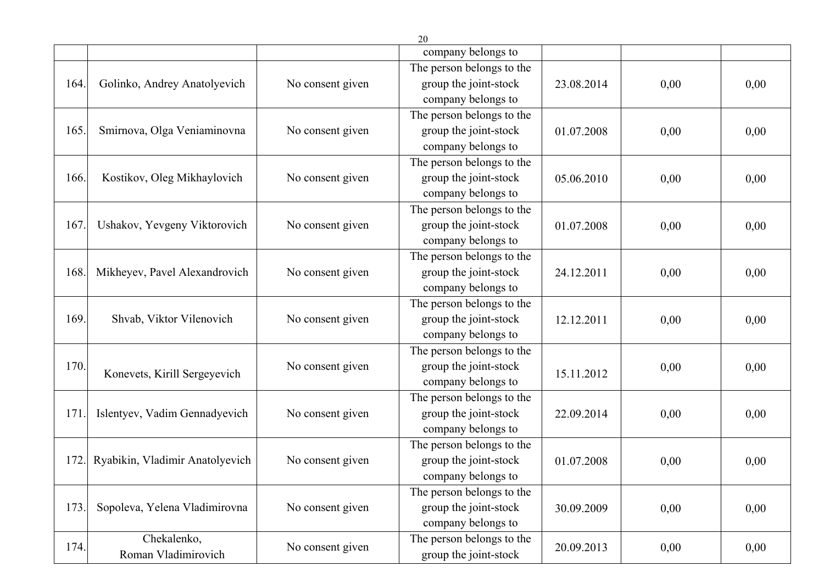|      |                                 |                  | ∠∪                        |            |      |      |
|------|---------------------------------|------------------|---------------------------|------------|------|------|
|      |                                 |                  | company belongs to        |            |      |      |
|      |                                 |                  | The person belongs to the |            |      |      |
| 164. | Golinko, Andrey Anatolyevich    | No consent given | group the joint-stock     | 23.08.2014 | 0,00 | 0,00 |
|      |                                 |                  | company belongs to        |            |      |      |
|      |                                 |                  | The person belongs to the |            |      |      |
| 165. | Smirnova, Olga Veniaminovna     | No consent given | group the joint-stock     | 01.07.2008 | 0,00 | 0,00 |
|      |                                 |                  | company belongs to        |            |      |      |
|      |                                 |                  | The person belongs to the |            |      |      |
| 166. | Kostikov, Oleg Mikhaylovich     | No consent given | group the joint-stock     | 05.06.2010 | 0,00 | 0,00 |
|      |                                 |                  | company belongs to        |            |      |      |
|      |                                 |                  | The person belongs to the |            |      |      |
| 167  | Ushakov, Yevgeny Viktorovich    | No consent given | group the joint-stock     | 01.07.2008 | 0,00 | 0,00 |
|      |                                 |                  | company belongs to        |            |      |      |
|      |                                 |                  | The person belongs to the |            |      |      |
| 168. | Mikheyev, Pavel Alexandrovich   | No consent given | group the joint-stock     | 24.12.2011 | 0,00 | 0,00 |
|      |                                 |                  | company belongs to        |            |      |      |
|      |                                 |                  | The person belongs to the |            |      |      |
| 169. | Shvab, Viktor Vilenovich        | No consent given | group the joint-stock     | 12.12.2011 | 0,00 | 0,00 |
|      |                                 |                  | company belongs to        |            |      |      |
|      |                                 |                  | The person belongs to the |            |      |      |
| 170. | Konevets, Kirill Sergeyevich    | No consent given | group the joint-stock     |            | 0,00 | 0,00 |
|      |                                 |                  | company belongs to        | 15.11.2012 |      |      |
|      |                                 |                  | The person belongs to the |            |      |      |
| 171  | Islentyev, Vadim Gennadyevich   | No consent given | group the joint-stock     | 22.09.2014 | 0,00 | 0,00 |
|      |                                 |                  | company belongs to        |            |      |      |
|      |                                 |                  | The person belongs to the |            |      |      |
| 172  | Ryabikin, Vladimir Anatolyevich | No consent given | group the joint-stock     | 01.07.2008 | 0,00 | 0,00 |
|      |                                 |                  | company belongs to        |            |      |      |
|      |                                 |                  | The person belongs to the |            |      |      |
| 173. | Sopoleva, Yelena Vladimirovna   | No consent given | group the joint-stock     | 30.09.2009 | 0,00 | 0,00 |
|      |                                 |                  | company belongs to        |            |      |      |
| 174. | Chekalenko,                     |                  | The person belongs to the |            |      |      |
|      | Roman Vladimirovich             | No consent given | group the joint-stock     | 20.09.2013 | 0,00 | 0,00 |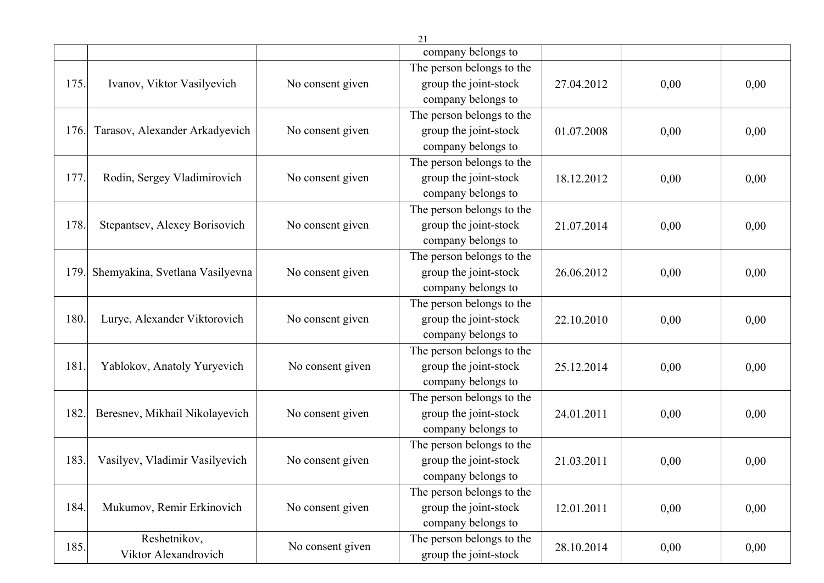|      |                                 |                  | company belongs to        |            |      |      |
|------|---------------------------------|------------------|---------------------------|------------|------|------|
|      |                                 |                  | The person belongs to the |            |      |      |
| 175. | Ivanov, Viktor Vasilyevich      | No consent given | group the joint-stock     | 27.04.2012 | 0,00 | 0,00 |
|      |                                 |                  | company belongs to        |            |      |      |
|      |                                 |                  | The person belongs to the |            |      |      |
| 176. | Tarasov, Alexander Arkadyevich  | No consent given | group the joint-stock     | 01.07.2008 | 0,00 | 0,00 |
|      |                                 |                  | company belongs to        |            |      |      |
|      |                                 |                  | The person belongs to the |            |      |      |
| 177. | Rodin, Sergey Vladimirovich     | No consent given | group the joint-stock     | 18.12.2012 | 0,00 | 0,00 |
|      |                                 |                  | company belongs to        |            |      |      |
|      |                                 |                  | The person belongs to the |            |      |      |
| 178. | Stepantsev, Alexey Borisovich   | No consent given | group the joint-stock     | 21.07.2014 | 0,00 | 0,00 |
|      |                                 |                  | company belongs to        |            |      |      |
|      |                                 |                  | The person belongs to the |            |      |      |
| 179. | Shemyakina, Svetlana Vasilyevna | No consent given | group the joint-stock     | 26.06.2012 | 0,00 | 0,00 |
|      |                                 |                  | company belongs to        |            |      |      |
|      |                                 |                  | The person belongs to the |            |      |      |
| 180. | Lurye, Alexander Viktorovich    | No consent given | group the joint-stock     | 22.10.2010 | 0,00 | 0,00 |
|      |                                 |                  | company belongs to        |            |      |      |
|      |                                 |                  | The person belongs to the |            |      |      |
| 181. | Yablokov, Anatoly Yuryevich     | No consent given | group the joint-stock     | 25.12.2014 | 0,00 | 0,00 |
|      |                                 |                  | company belongs to        |            |      |      |
|      |                                 |                  | The person belongs to the |            |      |      |
| 182. | Beresnev, Mikhail Nikolayevich  | No consent given | group the joint-stock     | 24.01.2011 | 0,00 | 0,00 |
|      |                                 |                  | company belongs to        |            |      |      |
|      |                                 |                  | The person belongs to the |            |      |      |
| 183. | Vasilyev, Vladimir Vasilyevich  | No consent given | group the joint-stock     | 21.03.2011 | 0,00 | 0,00 |
|      |                                 |                  | company belongs to        |            |      |      |
|      |                                 |                  | The person belongs to the |            |      |      |
| 184. | Mukumov, Remir Erkinovich       | No consent given | group the joint-stock     | 12.01.2011 | 0,00 | 0,00 |
|      |                                 |                  | company belongs to        |            |      |      |
| 185. | Reshetnikov,                    | No consent given | The person belongs to the | 28.10.2014 | 0,00 | 0,00 |
|      | Viktor Alexandrovich            |                  | group the joint-stock     |            |      |      |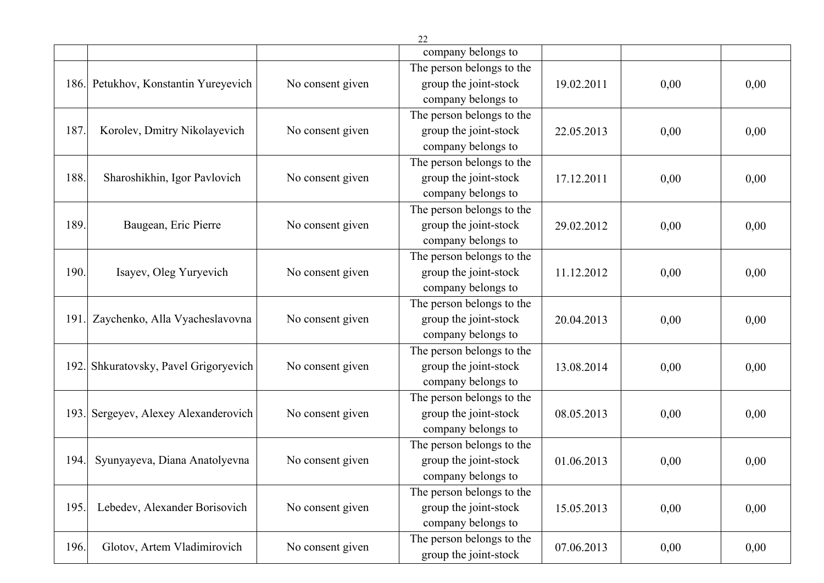|      |                                  |                  | company belongs to        |            |      |      |
|------|----------------------------------|------------------|---------------------------|------------|------|------|
|      |                                  |                  | The person belongs to the |            |      |      |
| 186. | Petukhov, Konstantin Yureyevich  | No consent given | group the joint-stock     | 19.02.2011 | 0,00 | 0,00 |
|      |                                  |                  | company belongs to        |            |      |      |
|      |                                  |                  | The person belongs to the |            |      |      |
| 187. | Korolev, Dmitry Nikolayevich     | No consent given | group the joint-stock     | 22.05.2013 | 0,00 | 0,00 |
|      |                                  |                  | company belongs to        |            |      |      |
|      |                                  |                  | The person belongs to the |            |      |      |
| 188. | Sharoshikhin, Igor Pavlovich     | No consent given | group the joint-stock     | 17.12.2011 | 0,00 | 0,00 |
|      |                                  |                  | company belongs to        |            |      |      |
|      |                                  |                  | The person belongs to the |            |      |      |
| 189. | Baugean, Eric Pierre             | No consent given | group the joint-stock     | 29.02.2012 | 0,00 | 0,00 |
|      |                                  |                  | company belongs to        |            |      |      |
|      |                                  |                  | The person belongs to the |            |      |      |
| 190. | Isayev, Oleg Yuryevich           | No consent given | group the joint-stock     | 11.12.2012 | 0,00 | 0,00 |
|      |                                  |                  | company belongs to        |            |      |      |
|      |                                  |                  | The person belongs to the |            |      |      |
| 191  | Zaychenko, Alla Vyacheslavovna   | No consent given | group the joint-stock     | 20.04.2013 | 0,00 | 0,00 |
|      |                                  |                  | company belongs to        |            |      |      |
|      |                                  |                  | The person belongs to the |            |      |      |
| 192. | Shkuratovsky, Pavel Grigoryevich | No consent given | group the joint-stock     | 13.08.2014 | 0,00 | 0,00 |
|      |                                  |                  | company belongs to        |            |      |      |
|      |                                  |                  | The person belongs to the |            |      |      |
| 193. | Sergeyev, Alexey Alexanderovich  | No consent given | group the joint-stock     | 08.05.2013 | 0,00 | 0,00 |
|      |                                  |                  | company belongs to        |            |      |      |
|      |                                  |                  | The person belongs to the |            |      |      |
| 194. | Syunyayeva, Diana Anatolyevna    | No consent given | group the joint-stock     | 01.06.2013 | 0,00 | 0,00 |
|      |                                  |                  | company belongs to        |            |      |      |
|      |                                  |                  | The person belongs to the |            |      |      |
| 195. | Lebedev, Alexander Borisovich    | No consent given | group the joint-stock     | 15.05.2013 | 0,00 | 0,00 |
|      |                                  |                  | company belongs to        |            |      |      |
| 196. | Glotov, Artem Vladimirovich      | No consent given | The person belongs to the | 07.06.2013 | 0,00 | 0,00 |
|      |                                  |                  | group the joint-stock     |            |      |      |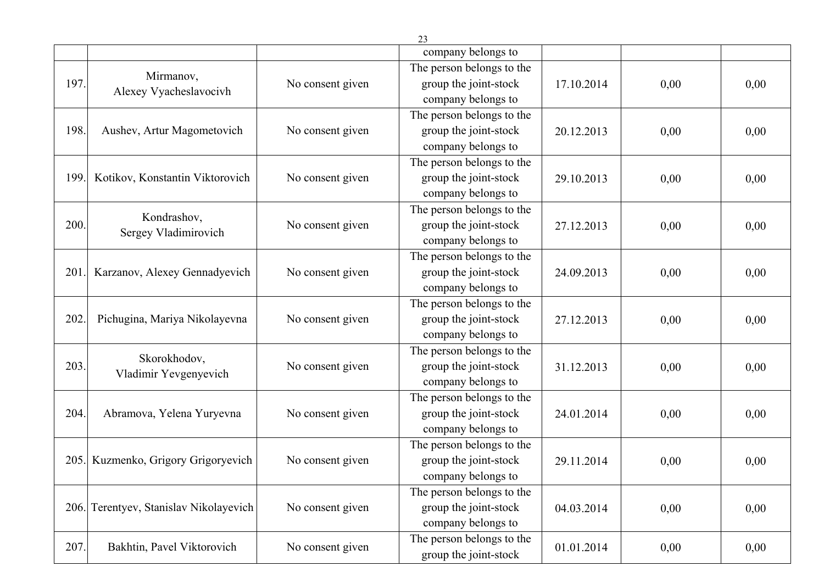|      |                                        |                  | 23                                                                                             |            |      |      |
|------|----------------------------------------|------------------|------------------------------------------------------------------------------------------------|------------|------|------|
|      |                                        |                  | company belongs to                                                                             |            |      |      |
| 197. | Mirmanov,<br>Alexey Vyacheslavocivh    | No consent given | The person belongs to the<br>group the joint-stock                                             | 17.10.2014 | 0,00 | 0,00 |
| 198. | Aushev, Artur Magometovich             | No consent given | company belongs to<br>The person belongs to the<br>group the joint-stock<br>company belongs to | 20.12.2013 | 0,00 | 0,00 |
| 199. | Kotikov, Konstantin Viktorovich        | No consent given | The person belongs to the<br>group the joint-stock<br>company belongs to                       | 29.10.2013 | 0,00 | 0,00 |
| 200. | Kondrashov,<br>Sergey Vladimirovich    | No consent given | The person belongs to the<br>group the joint-stock<br>company belongs to                       | 27.12.2013 | 0,00 | 0,00 |
| 201. | Karzanov, Alexey Gennadyevich          | No consent given | The person belongs to the<br>group the joint-stock<br>company belongs to                       | 24.09.2013 | 0,00 | 0,00 |
| 202. | Pichugina, Mariya Nikolayevna          | No consent given | The person belongs to the<br>group the joint-stock<br>company belongs to                       | 27.12.2013 | 0,00 | 0,00 |
| 203. | Skorokhodov,<br>Vladimir Yevgenyevich  | No consent given | The person belongs to the<br>group the joint-stock<br>company belongs to                       | 31.12.2013 | 0,00 | 0,00 |
| 204. | Abramova, Yelena Yuryevna              | No consent given | The person belongs to the<br>group the joint-stock<br>company belongs to                       | 24.01.2014 | 0,00 | 0,00 |
|      | 205. Kuzmenko, Grigory Grigoryevich    | No consent given | The person belongs to the<br>group the joint-stock<br>company belongs to                       | 29.11.2014 | 0,00 | 0,00 |
|      | 206. Terentyev, Stanislav Nikolayevich | No consent given | The person belongs to the<br>group the joint-stock<br>company belongs to                       | 04.03.2014 | 0,00 | 0,00 |
| 207. | Bakhtin, Pavel Viktorovich             | No consent given | The person belongs to the<br>group the joint-stock                                             | 01.01.2014 | 0,00 | 0,00 |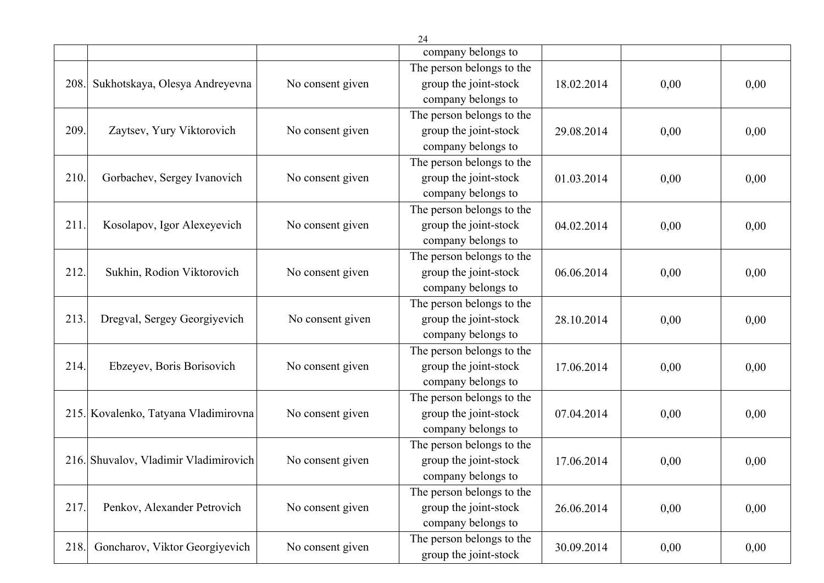|      |                                       |                  | company belongs to        |            |      |      |
|------|---------------------------------------|------------------|---------------------------|------------|------|------|
|      |                                       |                  | The person belongs to the |            |      |      |
| 208. | Sukhotskaya, Olesya Andreyevna        | No consent given | group the joint-stock     | 18.02.2014 | 0,00 | 0,00 |
|      |                                       |                  | company belongs to        |            |      |      |
|      |                                       |                  | The person belongs to the |            |      |      |
| 209. | Zaytsev, Yury Viktorovich             | No consent given | group the joint-stock     | 29.08.2014 | 0,00 | 0,00 |
|      |                                       |                  | company belongs to        |            |      |      |
|      |                                       |                  | The person belongs to the |            |      |      |
| 210. | Gorbachev, Sergey Ivanovich           | No consent given | group the joint-stock     | 01.03.2014 | 0,00 | 0,00 |
|      |                                       |                  | company belongs to        |            |      |      |
|      |                                       |                  | The person belongs to the |            |      |      |
| 211. | Kosolapov, Igor Alexeyevich           | No consent given | group the joint-stock     | 04.02.2014 | 0,00 | 0,00 |
|      |                                       |                  | company belongs to        |            |      |      |
|      |                                       |                  | The person belongs to the |            |      |      |
| 212. | Sukhin, Rodion Viktorovich            | No consent given | group the joint-stock     | 06.06.2014 | 0,00 | 0,00 |
|      |                                       |                  | company belongs to        |            |      |      |
|      |                                       |                  | The person belongs to the |            |      |      |
| 213. | Dregval, Sergey Georgiyevich          | No consent given | group the joint-stock     | 28.10.2014 | 0,00 | 0,00 |
|      |                                       |                  | company belongs to        |            |      |      |
|      |                                       |                  | The person belongs to the |            |      |      |
| 214. | Ebzeyev, Boris Borisovich             | No consent given | group the joint-stock     | 17.06.2014 | 0,00 | 0,00 |
|      |                                       |                  | company belongs to        |            |      |      |
|      |                                       |                  | The person belongs to the |            |      |      |
|      | 215. Kovalenko, Tatyana Vladimirovna  | No consent given | group the joint-stock     | 07.04.2014 | 0,00 | 0,00 |
|      |                                       |                  | company belongs to        |            |      |      |
|      |                                       |                  | The person belongs to the |            |      |      |
|      | 216. Shuvalov, Vladimir Vladimirovich | No consent given | group the joint-stock     | 17.06.2014 | 0,00 | 0,00 |
|      |                                       |                  | company belongs to        |            |      |      |
|      |                                       |                  | The person belongs to the |            |      |      |
| 217. | Penkov, Alexander Petrovich           | No consent given | group the joint-stock     | 26.06.2014 | 0,00 | 0,00 |
|      |                                       |                  | company belongs to        |            |      |      |
|      |                                       |                  | The person belongs to the |            |      |      |
| 218. | Goncharov, Viktor Georgiyevich        | No consent given | group the joint-stock     | 30.09.2014 | 0,00 | 0,00 |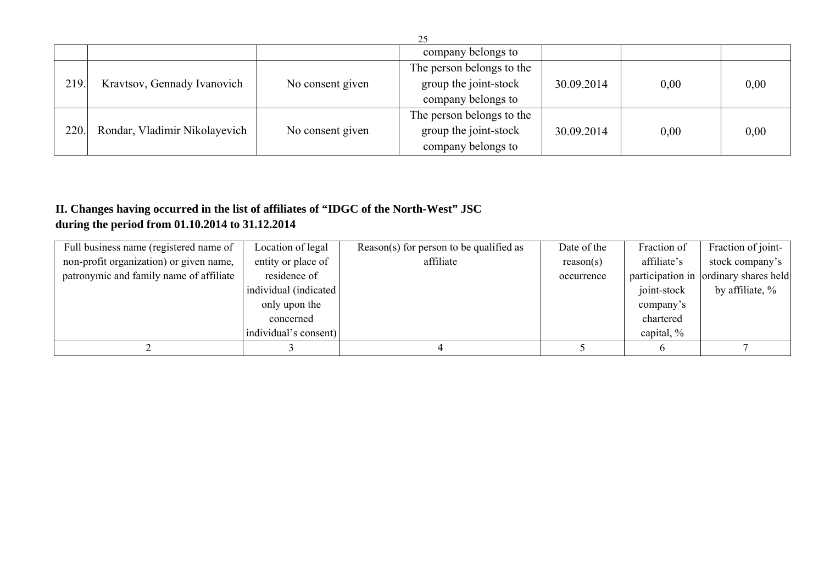|       |                               |                  | company belongs to        |            |      |      |
|-------|-------------------------------|------------------|---------------------------|------------|------|------|
|       |                               |                  | The person belongs to the |            |      |      |
| 219.  | Kravtsov, Gennady Ivanovich   | No consent given | group the joint-stock     | 30.09.2014 | 0,00 | 0,00 |
|       |                               |                  | company belongs to        |            |      |      |
|       |                               |                  | The person belongs to the |            |      |      |
| 220.1 | Rondar, Vladimir Nikolayevich | No consent given | group the joint-stock     | 30.09.2014 | 0,00 | 0,00 |
|       |                               |                  | company belongs to        |            |      |      |

## **II. Changes having occurred in the list of affiliates of "IDGC of the North-West" JSC during the period from 01.10.2014 to 31.12.2014**

| Full business name (registered name of  | Location of legal      | Reason(s) for person to be qualified as | Date of the | Fraction of | Fraction of joint-                    |
|-----------------------------------------|------------------------|-----------------------------------------|-------------|-------------|---------------------------------------|
| non-profit organization) or given name, | entity or place of     | affiliate                               | reason(s)   | affiliate's | stock company's                       |
| patronymic and family name of affiliate | residence of           |                                         | occurrence  |             | participation in ordinary shares held |
|                                         | individual (indicated) |                                         |             | joint-stock | by affiliate, $\%$                    |
|                                         | only upon the          |                                         |             | company's   |                                       |
|                                         | concerned              |                                         |             | chartered   |                                       |
|                                         | individual's consent)  |                                         |             | capital, %  |                                       |
|                                         |                        |                                         |             |             |                                       |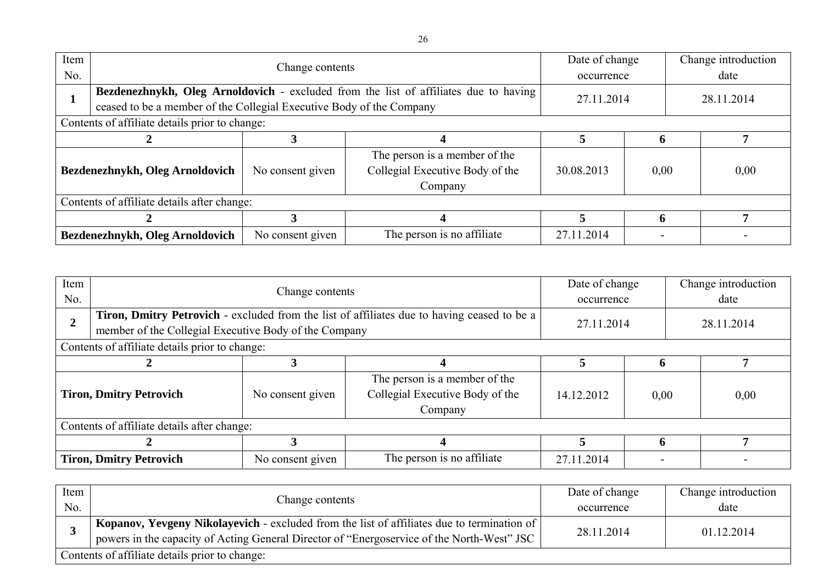| Item<br>No.                     |                                                                      | Change contents                                                                      |                                                                  |            |      |            | Change introduction<br>date |
|---------------------------------|----------------------------------------------------------------------|--------------------------------------------------------------------------------------|------------------------------------------------------------------|------------|------|------------|-----------------------------|
|                                 |                                                                      | Bezdenezhnykh, Oleg Arnoldovich - excluded from the list of affiliates due to having |                                                                  |            |      | 28.11.2014 |                             |
|                                 | ceased to be a member of the Collegial Executive Body of the Company |                                                                                      | 27.11.2014                                                       |            |      |            |                             |
|                                 | Contents of affiliate details prior to change:                       |                                                                                      |                                                                  |            |      |            |                             |
|                                 |                                                                      |                                                                                      |                                                                  |            | h    |            |                             |
| Bezdenezhnykh, Oleg Arnoldovich |                                                                      | No consent given                                                                     | The person is a member of the<br>Collegial Executive Body of the | 30.08.2013 | 0,00 |            | 0,00                        |
|                                 |                                                                      |                                                                                      | Company                                                          |            |      |            |                             |
|                                 | Contents of affiliate details after change:                          |                                                                                      |                                                                  |            |      |            |                             |
|                                 |                                                                      |                                                                                      |                                                                  |            |      |            |                             |
|                                 | Bezdenezhnykh, Oleg Arnoldovich                                      | No consent given                                                                     | The person is no affiliate                                       | 27.11.2014 |      |            |                             |

| Item<br>No.                    |                                                                                                                                                      | Change contents  |                                                                             |            |      | Change introduction<br>date |            |  |
|--------------------------------|------------------------------------------------------------------------------------------------------------------------------------------------------|------------------|-----------------------------------------------------------------------------|------------|------|-----------------------------|------------|--|
| 2                              | Tiron, Dmitry Petrovich - excluded from the list of affiliates due to having ceased to be a<br>member of the Collegial Executive Body of the Company |                  |                                                                             | 27.11.2014 |      |                             | 28.11.2014 |  |
|                                | Contents of affiliate details prior to change:                                                                                                       |                  |                                                                             |            |      |                             |            |  |
|                                |                                                                                                                                                      |                  |                                                                             |            | 6    |                             | 7          |  |
| <b>Tiron, Dmitry Petrovich</b> |                                                                                                                                                      | No consent given | The person is a member of the<br>Collegial Executive Body of the<br>Company | 14.12.2012 | 0,00 |                             | 0,00       |  |
|                                | Contents of affiliate details after change:                                                                                                          |                  |                                                                             |            |      |                             |            |  |
|                                |                                                                                                                                                      |                  |                                                                             |            | 6    |                             |            |  |
| <b>Tiron, Dmitry Petrovich</b> |                                                                                                                                                      | No consent given | The person is no affiliate                                                  | 27.11.2014 |      |                             |            |  |

| Item <sup>1</sup> |                                                                                            | Date of change | Change introduction |  |
|-------------------|--------------------------------------------------------------------------------------------|----------------|---------------------|--|
| No.               | Change contents                                                                            | occurrence     | date                |  |
|                   | Kopanov, Yevgeny Nikolayevich - excluded from the list of affiliates due to termination of | 28.11.2014     | 01.12.2014          |  |
|                   | powers in the capacity of Acting General Director of "Energoservice of the North-West" JSC |                |                     |  |
|                   | Contents of affiliate details prior to change:                                             |                |                     |  |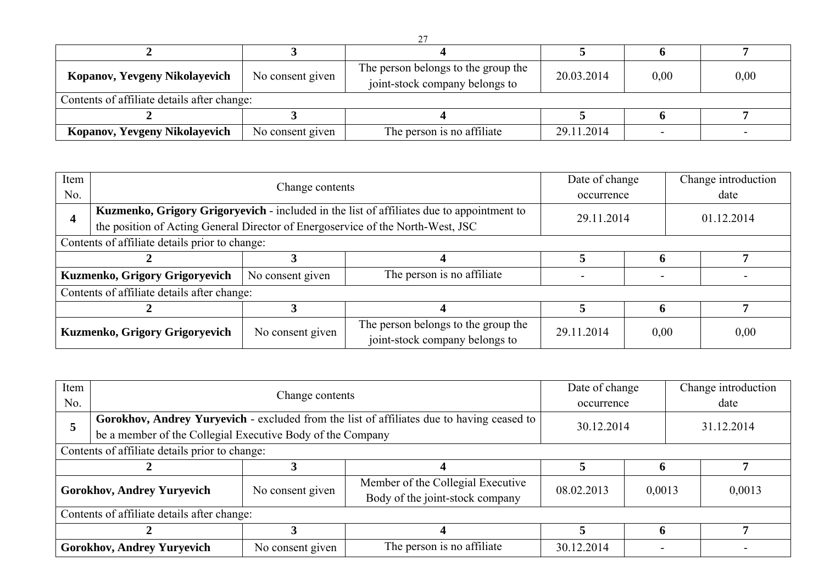| Kopanov, Yevgeny Nikolayevich               | No consent given | The person belongs to the group the<br>joint-stock company belongs to | 20.03.2014 | 0,00 | 0,00 |
|---------------------------------------------|------------------|-----------------------------------------------------------------------|------------|------|------|
| Contents of affiliate details after change: |                  |                                                                       |            |      |      |
|                                             |                  |                                                                       |            |      |      |
| Kopanov, Yevgeny Nikolayevich               | No consent given | The person is no affiliate                                            | 29.11.2014 |      |      |

| Item                           |                                                                                           | Change contents  |                                                                       |            |            | Change introduction |  |  |
|--------------------------------|-------------------------------------------------------------------------------------------|------------------|-----------------------------------------------------------------------|------------|------------|---------------------|--|--|
| No.                            |                                                                                           |                  |                                                                       |            | occurrence | date                |  |  |
|                                | Kuzmenko, Grigory Grigoryevich - included in the list of affiliates due to appointment to |                  |                                                                       | 29.11.2014 |            | 01.12.2014          |  |  |
|                                | the position of Acting General Director of Energoservice of the North-West, JSC           |                  |                                                                       |            |            |                     |  |  |
|                                | Contents of affiliate details prior to change:                                            |                  |                                                                       |            |            |                     |  |  |
|                                |                                                                                           |                  |                                                                       |            |            |                     |  |  |
|                                | Kuzmenko, Grigory Grigoryevich                                                            | No consent given | The person is no affiliate                                            |            |            |                     |  |  |
|                                | Contents of affiliate details after change:                                               |                  |                                                                       |            |            |                     |  |  |
|                                |                                                                                           |                  |                                                                       |            |            | ៗ                   |  |  |
| Kuzmenko, Grigory Grigoryevich |                                                                                           | No consent given | The person belongs to the group the<br>joint-stock company belongs to | 29.11.2014 | 0,00       | 0,00                |  |  |

| Item |                                                            | Change contents                                                                           |                                                                      |            | Date of change | Change introduction |  |  |
|------|------------------------------------------------------------|-------------------------------------------------------------------------------------------|----------------------------------------------------------------------|------------|----------------|---------------------|--|--|
| No.  |                                                            |                                                                                           |                                                                      |            | occurrence     | date                |  |  |
|      |                                                            | Gorokhov, Andrey Yuryevich - excluded from the list of affiliates due to having ceased to |                                                                      |            |                | 31.12.2014          |  |  |
|      | be a member of the Collegial Executive Body of the Company |                                                                                           | 30.12.2014                                                           |            |                |                     |  |  |
|      | Contents of affiliate details prior to change:             |                                                                                           |                                                                      |            |                |                     |  |  |
|      |                                                            |                                                                                           |                                                                      |            |                |                     |  |  |
|      | <b>Gorokhov, Andrey Yuryevich</b>                          | No consent given                                                                          | Member of the Collegial Executive<br>Body of the joint-stock company | 08.02.2013 | 0,0013         | 0,0013              |  |  |
|      | Contents of affiliate details after change:                |                                                                                           |                                                                      |            |                |                     |  |  |
|      |                                                            |                                                                                           |                                                                      | h          |                |                     |  |  |
|      | <b>Gorokhov, Andrey Yuryevich</b>                          | No consent given                                                                          | The person is no affiliate                                           | 30.12.2014 |                |                     |  |  |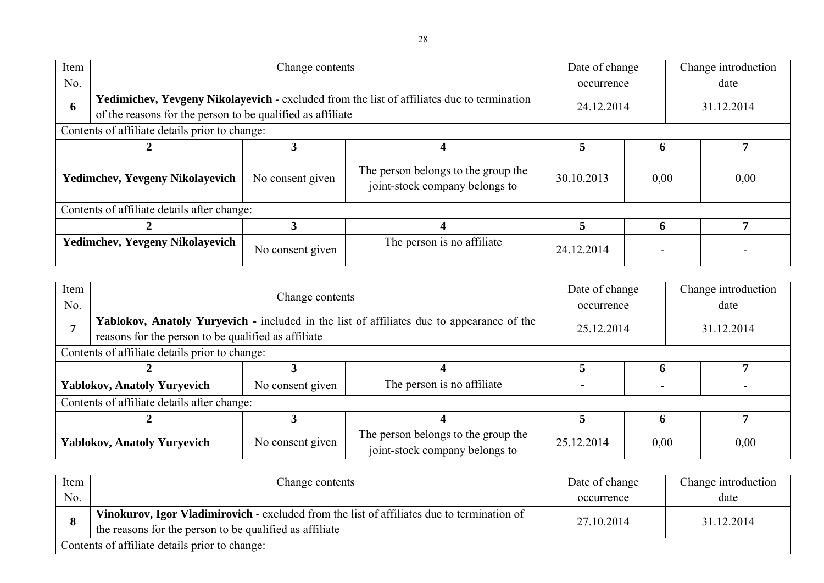| Item                                   |                                                | Change contents                                                                                                                                          |                                                                       | Date of change |              | Change introduction |            |  |
|----------------------------------------|------------------------------------------------|----------------------------------------------------------------------------------------------------------------------------------------------------------|-----------------------------------------------------------------------|----------------|--------------|---------------------|------------|--|
| No.                                    |                                                |                                                                                                                                                          |                                                                       |                |              |                     | date       |  |
| 6                                      |                                                | Yedimichev, Yevgeny Nikolayevich - excluded from the list of affiliates due to termination<br>of the reasons for the person to be qualified as affiliate |                                                                       |                | 24.12.2014   |                     | 31.12.2014 |  |
|                                        | Contents of affiliate details prior to change: |                                                                                                                                                          |                                                                       |                |              |                     |            |  |
|                                        | 3                                              |                                                                                                                                                          |                                                                       |                | <sup>6</sup> |                     | 7          |  |
| <b>Yedimchev, Yevgeny Nikolayevich</b> |                                                | No consent given                                                                                                                                         | The person belongs to the group the<br>joint-stock company belongs to | 30.10.2013     | 0,00         |                     | 0,00       |  |
|                                        | Contents of affiliate details after change:    |                                                                                                                                                          |                                                                       |                |              |                     |            |  |
|                                        |                                                |                                                                                                                                                          |                                                                       | 5              | n            |                     |            |  |
| <b>Yedimchev, Yevgeny Nikolayevich</b> |                                                | No consent given                                                                                                                                         | The person is no affiliate                                            | 24.12.2014     |              |                     |            |  |

| Item                               |                                                     | Change contents  |                                                                                           |                          | Date of change | Change introduction |  |
|------------------------------------|-----------------------------------------------------|------------------|-------------------------------------------------------------------------------------------|--------------------------|----------------|---------------------|--|
| No.                                |                                                     |                  |                                                                                           | occurrence               |                | date                |  |
|                                    |                                                     |                  | Yablokov, Anatoly Yuryevich - included in the list of affiliates due to appearance of the | 25.12.2014<br>31.12.2014 |                |                     |  |
|                                    | reasons for the person to be qualified as affiliate |                  |                                                                                           |                          |                |                     |  |
|                                    | Contents of affiliate details prior to change:      |                  |                                                                                           |                          |                |                     |  |
|                                    |                                                     |                  |                                                                                           |                          |                |                     |  |
|                                    | <b>Yablokov, Anatoly Yuryevich</b>                  | No consent given | The person is no affiliate                                                                |                          |                |                     |  |
|                                    | Contents of affiliate details after change:         |                  |                                                                                           |                          |                |                     |  |
|                                    |                                                     |                  |                                                                                           |                          |                |                     |  |
| <b>Yablokov, Anatoly Yuryevich</b> |                                                     | No consent given | The person belongs to the group the<br>joint-stock company belongs to                     | 25.12.2014               | 0,00           | 0,00                |  |

| Item | Change contents                                                                            | Date of change | Change introduction |
|------|--------------------------------------------------------------------------------------------|----------------|---------------------|
| No.  |                                                                                            | occurrence     | date                |
|      | Vinokurov, Igor Vladimirovich - excluded from the list of affiliates due to termination of | 27.10.2014     | 31.12.2014          |
|      | the reasons for the person to be qualified as affiliate                                    |                |                     |
|      | Contents of affiliate details prior to change:                                             |                |                     |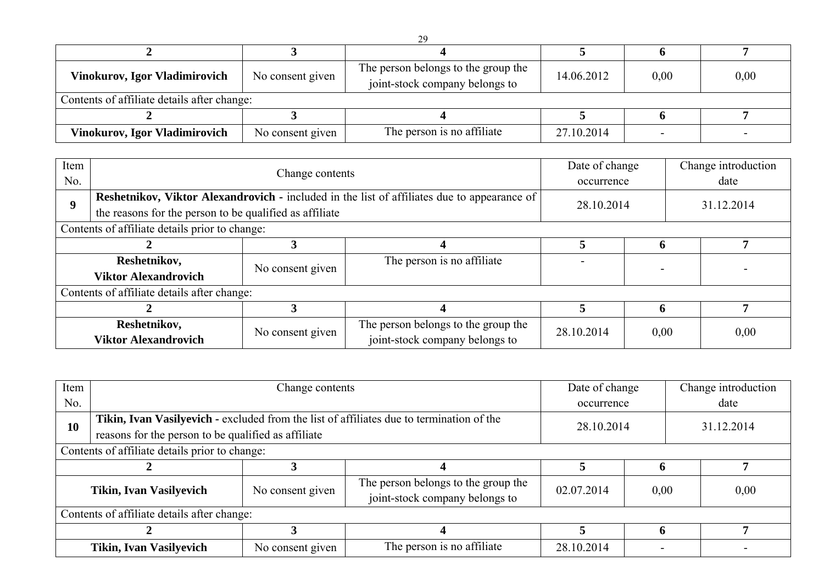| <b>Vinokurov, Igor Vladimirovich</b>        | No consent given | The person belongs to the group the<br>joint-stock company belongs to | 14.06.2012 | 0,00 | 0,00 |
|---------------------------------------------|------------------|-----------------------------------------------------------------------|------------|------|------|
| Contents of affiliate details after change: |                  |                                                                       |            |      |      |
|                                             |                  |                                                                       |            |      |      |
| <b>Vinokurov, Igor Vladimirovich</b>        | No consent given | The person is no affiliate                                            | 27.10.2014 |      |      |

| Item     |                                                         | Change contents  |                                                                                                    |            |      |            | Change introduction |  |
|----------|---------------------------------------------------------|------------------|----------------------------------------------------------------------------------------------------|------------|------|------------|---------------------|--|
| No.      |                                                         |                  |                                                                                                    | occurrence |      |            | date                |  |
| <b>Q</b> |                                                         |                  | <b>Reshetnikov, Viktor Alexandrovich - included in the list of affiliates due to appearance of</b> | 28.10.2014 |      |            |                     |  |
|          | the reasons for the person to be qualified as affiliate |                  |                                                                                                    |            |      | 31.12.2014 |                     |  |
|          | Contents of affiliate details prior to change:          |                  |                                                                                                    |            |      |            |                     |  |
|          |                                                         |                  |                                                                                                    |            |      |            |                     |  |
|          | Reshetnikov,                                            | No consent given | The person is no affiliate                                                                         |            |      |            |                     |  |
|          | <b>Viktor Alexandrovich</b>                             |                  |                                                                                                    |            |      |            |                     |  |
|          | Contents of affiliate details after change:             |                  |                                                                                                    |            |      |            |                     |  |
|          |                                                         |                  |                                                                                                    |            |      |            | 7                   |  |
|          | Reshetnikov,<br>No consent given                        |                  | The person belongs to the group the                                                                | 28.10.2014 | 0,00 |            | 0,00                |  |
|          | <b>Viktor Alexandrovich</b>                             |                  | joint-stock company belongs to                                                                     |            |      |            |                     |  |

| Item                           | Change contents                                     |                  |                                                                                          | Date of change |      |            | Change introduction |  |
|--------------------------------|-----------------------------------------------------|------------------|------------------------------------------------------------------------------------------|----------------|------|------------|---------------------|--|
| No.                            |                                                     |                  |                                                                                          | occurrence     |      |            | date                |  |
| 10                             |                                                     |                  | Tikin, Ivan Vasilyevich - excluded from the list of affiliates due to termination of the | 28.10.2014     |      | 31.12.2014 |                     |  |
|                                | reasons for the person to be qualified as affiliate |                  |                                                                                          |                |      |            |                     |  |
|                                | Contents of affiliate details prior to change:      |                  |                                                                                          |                |      |            |                     |  |
|                                |                                                     |                  |                                                                                          |                |      |            |                     |  |
| <b>Tikin, Ivan Vasilyevich</b> |                                                     | No consent given | The person belongs to the group the<br>joint-stock company belongs to                    | 02.07.2014     | 0,00 |            | 0,00                |  |
|                                | Contents of affiliate details after change:         |                  |                                                                                          |                |      |            |                     |  |
|                                |                                                     |                  |                                                                                          | n              |      |            |                     |  |
|                                | <b>Tikin, Ivan Vasilyevich</b>                      | No consent given | The person is no affiliate                                                               | 28.10.2014     |      |            |                     |  |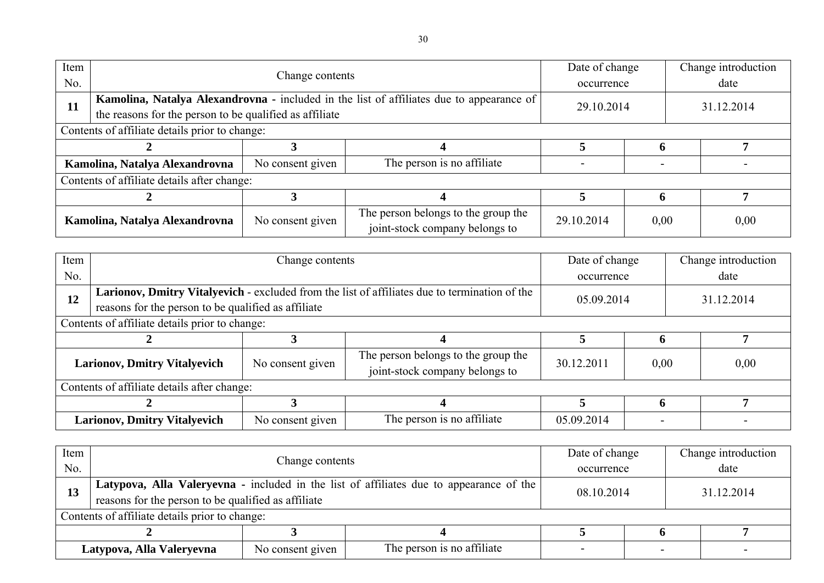| Item<br>No. |                                                                                                                                                     | Change contents  |                                                                       |            | Date of change<br>occurrence |  | Change introduction<br>date |
|-------------|-----------------------------------------------------------------------------------------------------------------------------------------------------|------------------|-----------------------------------------------------------------------|------------|------------------------------|--|-----------------------------|
| <b>11</b>   | Kamolina, Natalya Alexandrovna - included in the list of affiliates due to appearance of<br>the reasons for the person to be qualified as affiliate |                  |                                                                       | 29.10.2014 |                              |  | 31.12.2014                  |
|             | Contents of affiliate details prior to change:                                                                                                      |                  |                                                                       |            |                              |  |                             |
|             |                                                                                                                                                     |                  |                                                                       |            |                              |  |                             |
|             | Kamolina, Natalya Alexandrovna                                                                                                                      | No consent given | The person is no affiliate                                            |            |                              |  |                             |
|             | Contents of affiliate details after change:                                                                                                         |                  |                                                                       |            |                              |  |                             |
|             |                                                                                                                                                     |                  |                                                                       |            |                              |  |                             |
|             | Kamolina, Natalya Alexandrovna                                                                                                                      | No consent given | The person belongs to the group the<br>joint-stock company belongs to | 29.10.2014 | 0,00                         |  | 0,00                        |

| Item                                |                                                     | Change contents  |                                                                                               | Date of change |      |      | Change introduction |  |
|-------------------------------------|-----------------------------------------------------|------------------|-----------------------------------------------------------------------------------------------|----------------|------|------|---------------------|--|
| No.                                 |                                                     |                  |                                                                                               | occurrence     |      | date |                     |  |
| 12                                  |                                                     |                  | Larionov, Dmitry Vitalyevich - excluded from the list of affiliates due to termination of the | 05.09.2014     |      |      | 31.12.2014          |  |
|                                     | reasons for the person to be qualified as affiliate |                  |                                                                                               |                |      |      |                     |  |
|                                     | Contents of affiliate details prior to change:      |                  |                                                                                               |                |      |      |                     |  |
|                                     |                                                     |                  |                                                                                               |                |      |      |                     |  |
| <b>Larionov, Dmitry Vitalyevich</b> |                                                     | No consent given | The person belongs to the group the<br>joint-stock company belongs to                         | 30.12.2011     | 0,00 |      | 0,00                |  |
|                                     | Contents of affiliate details after change:         |                  |                                                                                               |                |      |      |                     |  |
|                                     |                                                     |                  |                                                                                               |                |      |      |                     |  |
|                                     | <b>Larionov, Dmitry Vitalyevich</b>                 | No consent given | The person is no affiliate                                                                    | 05.09.2014     |      |      |                     |  |

| Item |                                                                             |                 |                                                                                         | Date of change           |  | Change introduction |
|------|-----------------------------------------------------------------------------|-----------------|-----------------------------------------------------------------------------------------|--------------------------|--|---------------------|
| No.  |                                                                             | Change contents |                                                                                         | occurrence               |  | date                |
| 13   |                                                                             |                 | Latypova, Alla Valeryevna - included in the list of affiliates due to appearance of the | 08.10.2014<br>31.12.2014 |  |                     |
|      | reasons for the person to be qualified as affiliate                         |                 |                                                                                         |                          |  |                     |
|      | Contents of affiliate details prior to change:                              |                 |                                                                                         |                          |  |                     |
|      |                                                                             |                 |                                                                                         |                          |  |                     |
|      | The person is no affiliate<br>No consent given<br>Latypova, Alla Valeryevna |                 |                                                                                         |                          |  |                     |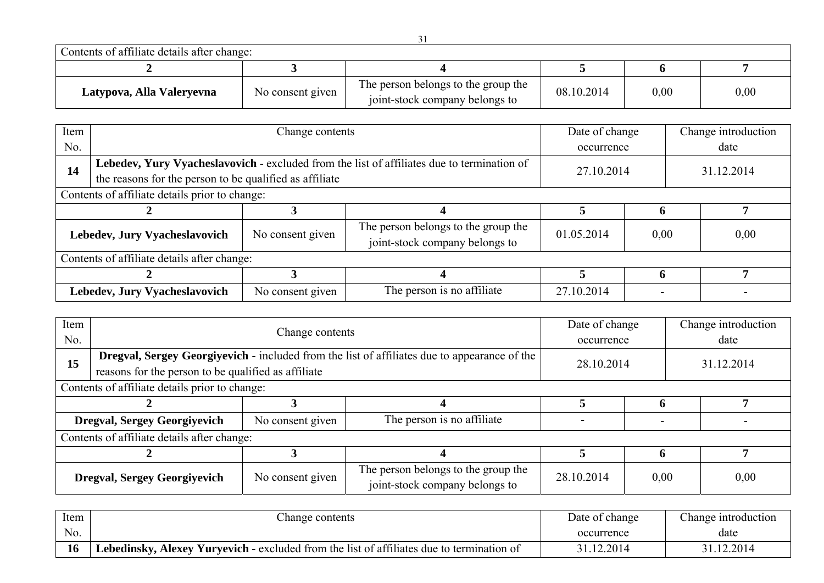Contents of affiliate details after change:

| Contents of affilmate actums after change. |                  |                                                                       |            |      |      |  |  |  |
|--------------------------------------------|------------------|-----------------------------------------------------------------------|------------|------|------|--|--|--|
|                                            |                  |                                                                       |            |      |      |  |  |  |
| Latypova, Alla Valeryevna                  | No consent given | The person belongs to the group the<br>joint-stock company belongs to | 08.10.2014 | 0,00 | 0,00 |  |  |  |

| Item |                                                         | Change contents                                                                            |                                                                       | Date of change           |      |      | Change introduction |
|------|---------------------------------------------------------|--------------------------------------------------------------------------------------------|-----------------------------------------------------------------------|--------------------------|------|------|---------------------|
| No.  |                                                         |                                                                                            | occurrence                                                            |                          |      | date |                     |
| 14   |                                                         | Lebedev, Yury Vyacheslavovich - excluded from the list of affiliates due to termination of |                                                                       |                          |      |      |                     |
|      | the reasons for the person to be qualified as affiliate |                                                                                            |                                                                       | 27.10.2014<br>31.12.2014 |      |      |                     |
|      | Contents of affiliate details prior to change:          |                                                                                            |                                                                       |                          |      |      |                     |
|      |                                                         |                                                                                            |                                                                       |                          |      |      |                     |
|      | Lebedev, Jury Vyacheslavovich                           | No consent given                                                                           | The person belongs to the group the<br>joint-stock company belongs to | 01.05.2014               | 0,00 |      | 0,00                |
|      | Contents of affiliate details after change:             |                                                                                            |                                                                       |                          |      |      |                     |
|      |                                                         |                                                                                            |                                                                       |                          | h    |      |                     |
|      | Lebedev, Jury Vyacheslavovich                           | No consent given                                                                           | The person is no affiliate                                            | 27.10.2014               |      |      |                     |

| Item |                                                     | Change contents  |                                                                                              | Date of change           |      | Change introduction |  |  |  |
|------|-----------------------------------------------------|------------------|----------------------------------------------------------------------------------------------|--------------------------|------|---------------------|--|--|--|
| No.  |                                                     |                  |                                                                                              | occurrence               |      | date                |  |  |  |
| 15   |                                                     |                  | Dregval, Sergey Georgiyevich - included from the list of affiliates due to appearance of the | 28.10.2014<br>31.12.2014 |      |                     |  |  |  |
|      | reasons for the person to be qualified as affiliate |                  |                                                                                              |                          |      |                     |  |  |  |
|      | Contents of affiliate details prior to change:      |                  |                                                                                              |                          |      |                     |  |  |  |
|      |                                                     |                  |                                                                                              |                          |      |                     |  |  |  |
|      | <b>Dregval, Sergey Georgiyevich</b>                 | No consent given | The person is no affiliate                                                                   |                          |      |                     |  |  |  |
|      | Contents of affiliate details after change:         |                  |                                                                                              |                          |      |                     |  |  |  |
|      |                                                     |                  |                                                                                              |                          |      |                     |  |  |  |
|      | <b>Dregval, Sergey Georgiyevich</b>                 | No consent given | The person belongs to the group the<br>joint-stock company belongs to                        | 28.10.2014               | 0,00 | 0,00                |  |  |  |

| Item | hange contents                                                                                   | Date of change | Change introduction |
|------|--------------------------------------------------------------------------------------------------|----------------|---------------------|
| No.  |                                                                                                  | occurrence     | date                |
| 16   | <b>Lebedinsky, Alexey Yuryevich - excluded from the list of affiliates due to termination of</b> | 31.12.2014     | 31.12.2014          |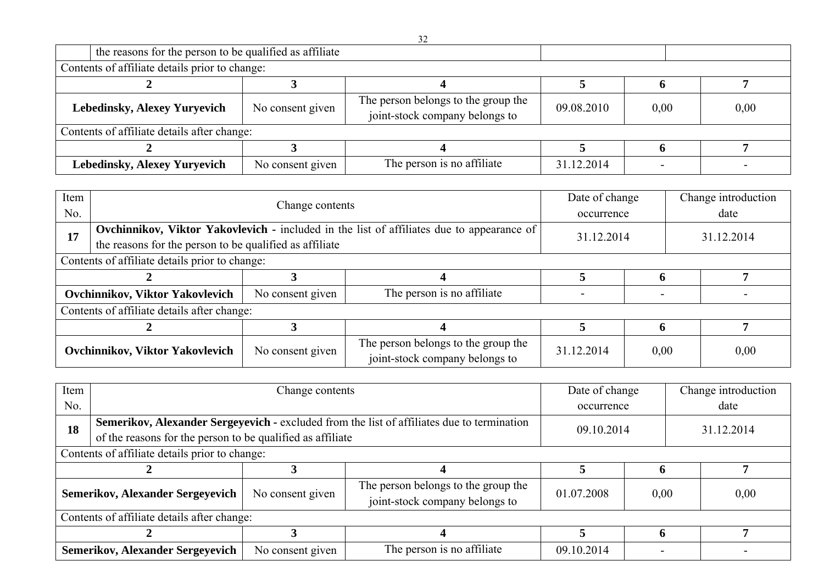| the reasons for the person to be qualified as affiliate |                  |                                                                       |            |      |      |  |  |  |
|---------------------------------------------------------|------------------|-----------------------------------------------------------------------|------------|------|------|--|--|--|
| Contents of affiliate details prior to change:          |                  |                                                                       |            |      |      |  |  |  |
|                                                         |                  |                                                                       |            |      |      |  |  |  |
| <b>Lebedinsky, Alexey Yuryevich</b>                     | No consent given | The person belongs to the group the<br>joint-stock company belongs to | 09.08.2010 | 0,00 | 0,00 |  |  |  |
| Contents of affiliate details after change:             |                  |                                                                       |            |      |      |  |  |  |
|                                                         |                  |                                                                       |            |      |      |  |  |  |
| <b>Lebedinsky, Alexey Yuryevich</b>                     | No consent given | The person is no affiliate                                            | 31.12.2014 |      |      |  |  |  |

| Item<br>No. |                                                                                                                                                      | Change contents  |                                                                       | Date of change<br>occurrence |      |            | Change introduction<br>date |
|-------------|------------------------------------------------------------------------------------------------------------------------------------------------------|------------------|-----------------------------------------------------------------------|------------------------------|------|------------|-----------------------------|
| 17          | Ovchinnikov, Viktor Yakovlevich - included in the list of affiliates due to appearance of<br>the reasons for the person to be qualified as affiliate |                  |                                                                       | 31.12.2014                   |      | 31.12.2014 |                             |
|             | Contents of affiliate details prior to change:                                                                                                       |                  |                                                                       |                              |      |            |                             |
|             |                                                                                                                                                      |                  |                                                                       |                              |      |            |                             |
|             | <b>Ovchinnikov, Viktor Yakovlevich</b>                                                                                                               | No consent given | The person is no affiliate                                            |                              |      |            |                             |
|             | Contents of affiliate details after change:                                                                                                          |                  |                                                                       |                              |      |            |                             |
|             |                                                                                                                                                      |                  |                                                                       |                              | O    |            | 7                           |
|             | Ovchinnikov, Viktor Yakovlevich                                                                                                                      | No consent given | The person belongs to the group the<br>joint-stock company belongs to | 31.12.2014                   | 0,00 |            | 0,00                        |

| Item                                                                                             |                                                            | Change contents  |                                                                       | Date of change |      |  | Change introduction |
|--------------------------------------------------------------------------------------------------|------------------------------------------------------------|------------------|-----------------------------------------------------------------------|----------------|------|--|---------------------|
| No.                                                                                              |                                                            |                  |                                                                       | occurrence     |      |  | date                |
| Semerikov, Alexander Sergeyevich - excluded from the list of affiliates due to termination<br>18 |                                                            |                  |                                                                       | 09.10.2014     |      |  | 31.12.2014          |
|                                                                                                  | of the reasons for the person to be qualified as affiliate |                  |                                                                       |                |      |  |                     |
|                                                                                                  | Contents of affiliate details prior to change:             |                  |                                                                       |                |      |  |                     |
|                                                                                                  |                                                            |                  |                                                                       |                |      |  |                     |
|                                                                                                  | <b>Semerikov, Alexander Sergeyevich</b>                    | No consent given | The person belongs to the group the<br>joint-stock company belongs to | 01.07.2008     | 0,00 |  | 0,00                |
|                                                                                                  | Contents of affiliate details after change:                |                  |                                                                       |                |      |  |                     |
|                                                                                                  |                                                            |                  |                                                                       |                |      |  |                     |
|                                                                                                  | <b>Semerikov, Alexander Sergeyevich</b>                    | No consent given | The person is no affiliate                                            | 09.10.2014     |      |  |                     |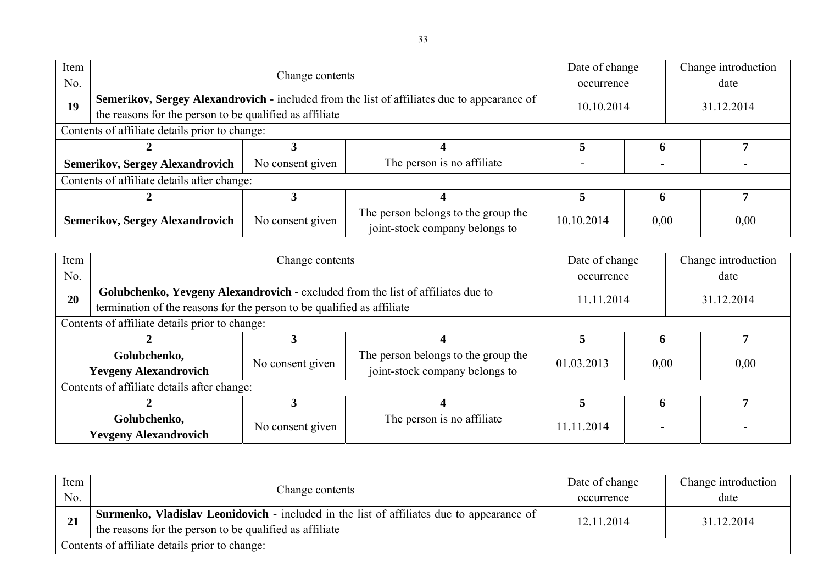| Item<br>No. |                                                         | Change contents  |                                                                                             | Date of change<br>occurrence |      |            | Change introduction<br>date |
|-------------|---------------------------------------------------------|------------------|---------------------------------------------------------------------------------------------|------------------------------|------|------------|-----------------------------|
| 19          | the reasons for the person to be qualified as affiliate |                  | Semerikov, Sergey Alexandrovich - included from the list of affiliates due to appearance of | 10.10.2014                   |      | 31.12.2014 |                             |
|             | Contents of affiliate details prior to change:          |                  |                                                                                             |                              |      |            |                             |
|             |                                                         |                  |                                                                                             |                              |      |            |                             |
|             | <b>Semerikov, Sergey Alexandrovich</b>                  | No consent given | The person is no affiliate                                                                  |                              |      |            |                             |
|             | Contents of affiliate details after change:             |                  |                                                                                             |                              |      |            |                             |
|             |                                                         |                  |                                                                                             |                              |      |            |                             |
|             | <b>Semerikov, Sergey Alexandrovich</b>                  | No consent given | The person belongs to the group the<br>joint-stock company belongs to                       | 10.10.2014                   | 0,00 |            | 0,00                        |

| Item |                                                | Change contents                                                        |                                                                                  | Date of change |      |            | Change introduction |
|------|------------------------------------------------|------------------------------------------------------------------------|----------------------------------------------------------------------------------|----------------|------|------------|---------------------|
| No.  |                                                |                                                                        |                                                                                  | occurrence     |      | date       |                     |
| 20   |                                                |                                                                        | Golubchenko, Yevgeny Alexandrovich - excluded from the list of affiliates due to | 11.11.2014     |      | 31.12.2014 |                     |
|      |                                                | termination of the reasons for the person to be qualified as affiliate |                                                                                  |                |      |            |                     |
|      | Contents of affiliate details prior to change: |                                                                        |                                                                                  |                |      |            |                     |
|      |                                                |                                                                        |                                                                                  |                |      |            |                     |
|      | Golubchenko,                                   | No consent given                                                       | The person belongs to the group the                                              | 01.03.2013     | 0,00 |            | 0,00                |
|      | <b>Yevgeny Alexandrovich</b>                   |                                                                        | joint-stock company belongs to                                                   |                |      |            |                     |
|      | Contents of affiliate details after change:    |                                                                        |                                                                                  |                |      |            |                     |
|      |                                                |                                                                        |                                                                                  | 5              | O    |            |                     |
|      | Golubchenko,                                   | No consent given                                                       | The person is no affiliate                                                       | 11.11.2014     |      |            |                     |
|      | <b>Yevgeny Alexandrovich</b>                   |                                                                        |                                                                                  |                |      |            |                     |

| Item |                                                                                                  | Date of change | Change introduction |
|------|--------------------------------------------------------------------------------------------------|----------------|---------------------|
| No.  | Change contents                                                                                  | occurrence     | date                |
|      | <b>Surmenko, Vladislav Leonidovich -</b> included in the list of affiliates due to appearance of | 12.11.2014     | 31.12.2014          |
| 21   | the reasons for the person to be qualified as affiliate                                          |                |                     |
|      | Contents of affiliate details prior to change:                                                   |                |                     |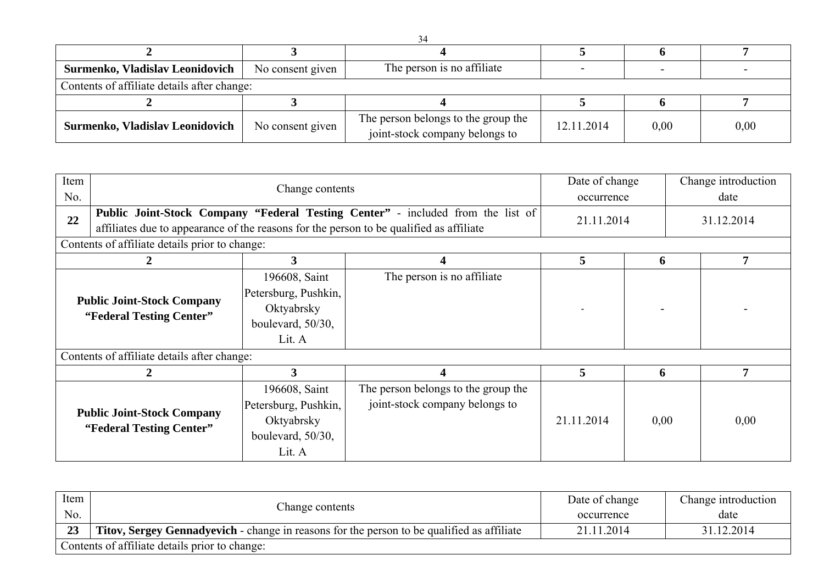| Surmenko, Vladislav Leonidovich             | No consent given | The person is no affiliate                                            |            |      |      |  |  |  |
|---------------------------------------------|------------------|-----------------------------------------------------------------------|------------|------|------|--|--|--|
| Contents of affiliate details after change: |                  |                                                                       |            |      |      |  |  |  |
|                                             |                  |                                                                       |            |      |      |  |  |  |
| Surmenko, Vladislav Leonidovich             | No consent given | The person belongs to the group the<br>joint-stock company belongs to | 12.11.2014 | 0.00 | 0,00 |  |  |  |

| Item<br>No. |                                                                                         | Change contents                                                                    |                                                                                 |            | Date of change<br>occurrence | Change introduction<br>date |  |
|-------------|-----------------------------------------------------------------------------------------|------------------------------------------------------------------------------------|---------------------------------------------------------------------------------|------------|------------------------------|-----------------------------|--|
| 22          | affiliates due to appearance of the reasons for the person to be qualified as affiliate |                                                                                    | Public Joint-Stock Company "Federal Testing Center" - included from the list of | 21.11.2014 |                              | 31.12.2014                  |  |
|             | Contents of affiliate details prior to change:                                          |                                                                                    |                                                                                 |            |                              |                             |  |
|             | 2                                                                                       | 5                                                                                  | 6                                                                               | 7          |                              |                             |  |
|             | <b>Public Joint-Stock Company</b><br>"Federal Testing Center"                           | 196608, Saint<br>Petersburg, Pushkin,<br>Oktyabrsky<br>boulevard, 50/30,<br>Lit. A | The person is no affiliate                                                      |            |                              |                             |  |
|             | Contents of affiliate details after change:                                             |                                                                                    |                                                                                 |            |                              |                             |  |
|             | 2                                                                                       | 3                                                                                  | 4                                                                               | 5          | 6                            | 7                           |  |
|             | <b>Public Joint-Stock Company</b><br>"Federal Testing Center"                           | 196608, Saint<br>Petersburg, Pushkin,<br>Oktyabrsky<br>boulevard, 50/30,<br>Lit. A | The person belongs to the group the<br>joint-stock company belongs to           | 21.11.2014 | 0,00                         | 0,00                        |  |

| Item<br>No. | Change contents                                                                                   | Date of change<br>occurrence | Change introduction<br>date |
|-------------|---------------------------------------------------------------------------------------------------|------------------------------|-----------------------------|
| 23          | <b>Titov, Sergey Gennadyevich</b> - change in reasons for the person to be qualified as affiliate | 21.11.2014                   | 31.12.2014                  |
|             | Contents of affiliate details prior to change:                                                    |                              |                             |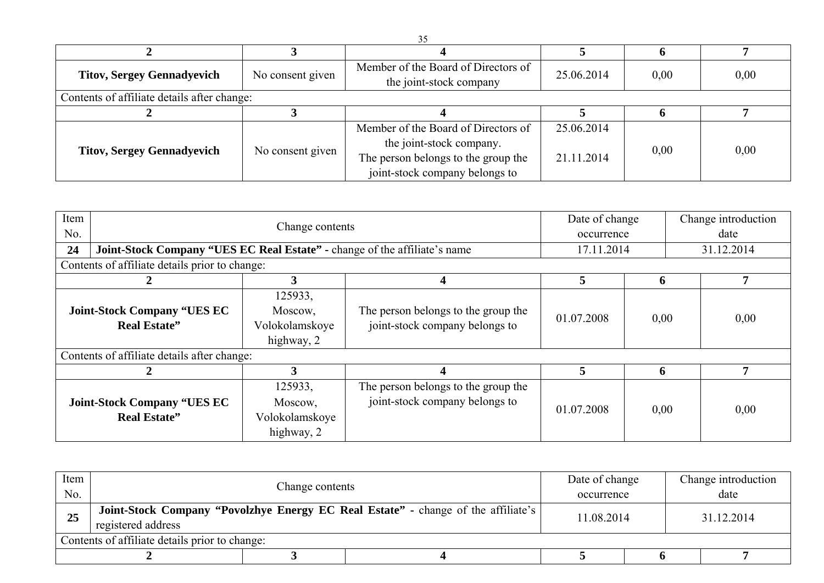| <b>Titov, Sergey Gennadyevich</b>           | No consent given | Member of the Board of Directors of<br>the joint-stock company | 25.06.2014 | 0,00 | 0,00 |  |  |
|---------------------------------------------|------------------|----------------------------------------------------------------|------------|------|------|--|--|
| Contents of affiliate details after change: |                  |                                                                |            |      |      |  |  |
|                                             |                  |                                                                |            |      |      |  |  |
|                                             |                  | Member of the Board of Directors of                            | 25.06.2014 |      |      |  |  |
|                                             |                  | the joint-stock company.                                       |            | 0,00 |      |  |  |
| <b>Titov, Sergey Gennadyevich</b>           | No consent given | The person belongs to the group the                            | 21.11.2014 |      | 0,00 |  |  |
|                                             |                  | joint-stock company belongs to                                 |            |      |      |  |  |

| Item<br>No.<br>24                                         | Joint-Stock Company "UES EC Real Estate" - change of the affiliate's name<br>Contents of affiliate details prior to change: | Change contents                                    |                                                                       | Date of change<br>occurrence<br>17.11.2014 |      | Change introduction<br>date<br>31.12.2014 |
|-----------------------------------------------------------|-----------------------------------------------------------------------------------------------------------------------------|----------------------------------------------------|-----------------------------------------------------------------------|--------------------------------------------|------|-------------------------------------------|
|                                                           |                                                                                                                             | 3                                                  |                                                                       | 5                                          | 6    | 7                                         |
| <b>Joint-Stock Company "UES EC</b><br><b>Real Estate"</b> |                                                                                                                             | 125933,<br>Moscow,<br>Volokolamskoye<br>highway, 2 | The person belongs to the group the<br>joint-stock company belongs to | 01.07.2008                                 | 0,00 | 0,00                                      |
|                                                           | Contents of affiliate details after change:                                                                                 |                                                    |                                                                       |                                            |      |                                           |
|                                                           |                                                                                                                             | 3                                                  |                                                                       | 5                                          | 6    | 7                                         |
|                                                           | <b>Joint-Stock Company "UES EC</b><br><b>Real Estate"</b>                                                                   | 125933,<br>Moscow,<br>Volokolamskoye<br>highway, 2 | The person belongs to the group the<br>joint-stock company belongs to | 01.07.2008                                 | 0,00 | 0,00                                      |

| Item<br>No. |                                                                                                         | Change contents |  |            | Date of change<br>occurrence | Change introduction<br>date |
|-------------|---------------------------------------------------------------------------------------------------------|-----------------|--|------------|------------------------------|-----------------------------|
| 25          | Joint-Stock Company "Povolzhye Energy EC Real Estate" - change of the affiliate's<br>registered address |                 |  | 11.08.2014 |                              | 31.12.2014                  |
|             | Contents of affiliate details prior to change:                                                          |                 |  |            |                              |                             |
|             |                                                                                                         |                 |  |            |                              |                             |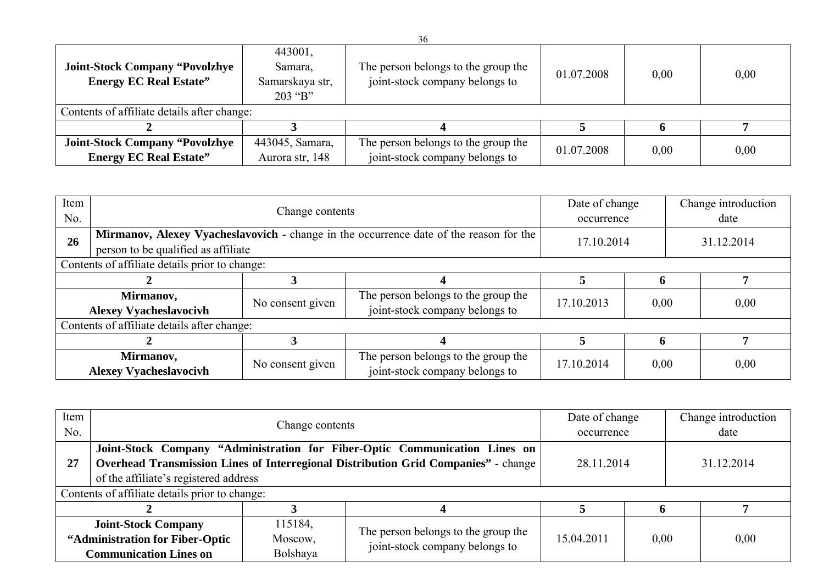| <b>Joint-Stock Company "Povolzhye</b><br><b>Energy EC Real Estate"</b> | 443001,<br>Samara,<br>Samarskaya str,<br>$203$ "B" | The person belongs to the group the<br>joint-stock company belongs to | 01.07.2008 | 0.00 | 0,00 |
|------------------------------------------------------------------------|----------------------------------------------------|-----------------------------------------------------------------------|------------|------|------|
| Contents of affiliate details after change:                            |                                                    |                                                                       |            |      |      |
|                                                                        |                                                    |                                                                       |            |      |      |
| <b>Joint-Stock Company "Povolzhye</b>                                  | 443045, Samara,                                    | The person belongs to the group the                                   | 01.07.2008 | 0.00 | 0,00 |
| <b>Energy EC Real Estate"</b>                                          | Aurora str, 148                                    | joint-stock company belongs to                                        |            |      |      |

| Item<br>No.                                                                                                                         |                                                | Date of change<br>occurrence |                                                                       | Change introduction<br>date |            |  |      |
|-------------------------------------------------------------------------------------------------------------------------------------|------------------------------------------------|------------------------------|-----------------------------------------------------------------------|-----------------------------|------------|--|------|
| Mirmanov, Alexey Vyacheslavovich - change in the occurrence date of the reason for the<br>26<br>person to be qualified as affiliate |                                                |                              | 17.10.2014                                                            |                             | 31.12.2014 |  |      |
|                                                                                                                                     | Contents of affiliate details prior to change: |                              |                                                                       |                             |            |  |      |
| 5                                                                                                                                   |                                                |                              |                                                                       |                             |            |  | 7    |
| Mirmanov,<br><b>Alexey Vyacheslavocivh</b>                                                                                          |                                                | No consent given             | The person belongs to the group the<br>joint-stock company belongs to | 17.10.2013                  | 0,00       |  | 0,00 |
|                                                                                                                                     | Contents of affiliate details after change:    |                              |                                                                       |                             |            |  |      |
|                                                                                                                                     |                                                |                              |                                                                       |                             |            |  |      |
|                                                                                                                                     | Mirmanov,<br><b>Alexey Vyacheslavocivh</b>     | No consent given             | The person belongs to the group the<br>joint-stock company belongs to | 17.10.2014                  | 0,00       |  | 0,00 |

| Item<br>No. |                                                               | Change contents    |                                                                                                                                                                  | Date of change<br>occurrence |      |  | Change introduction<br>date |  |
|-------------|---------------------------------------------------------------|--------------------|------------------------------------------------------------------------------------------------------------------------------------------------------------------|------------------------------|------|--|-----------------------------|--|
| 27          |                                                               |                    | Joint-Stock Company "Administration for Fiber-Optic Communication Lines on<br>Overhead Transmission Lines of Interregional Distribution Grid Companies" - change | 28.11.2014                   |      |  | 31.12.2014                  |  |
|             | of the affiliate's registered address                         |                    |                                                                                                                                                                  |                              |      |  |                             |  |
|             | Contents of affiliate details prior to change:                |                    |                                                                                                                                                                  |                              |      |  |                             |  |
|             |                                                               |                    |                                                                                                                                                                  |                              |      |  |                             |  |
|             | <b>Joint-Stock Company</b><br>"Administration for Fiber-Optic | 115184,<br>Moscow, | The person belongs to the group the<br>joint-stock company belongs to                                                                                            | 15.04.2011                   | 0,00 |  | 0,00                        |  |
|             | <b>Communication Lines on</b>                                 | Bolshaya           |                                                                                                                                                                  |                              |      |  |                             |  |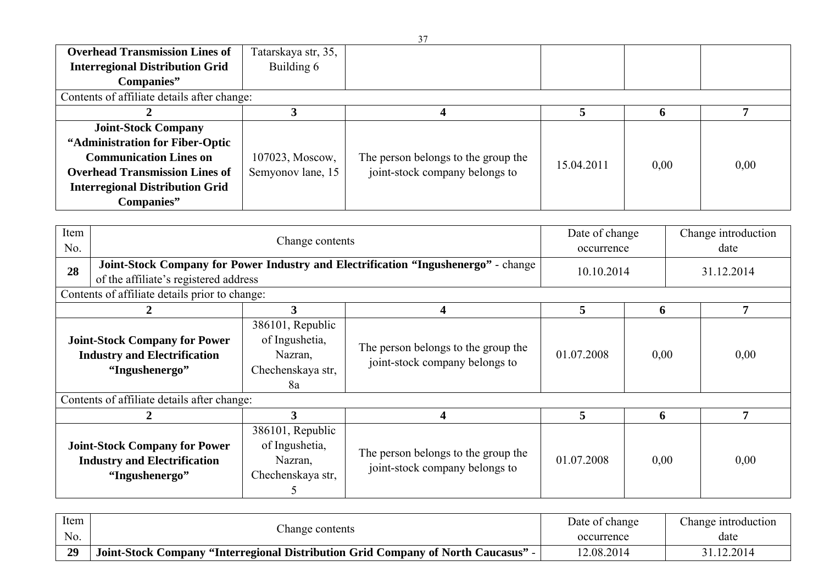| <b>Overhead Transmission Lines of</b>       | Tatarskaya str, 35, |                                     |            |      |      |
|---------------------------------------------|---------------------|-------------------------------------|------------|------|------|
| <b>Interregional Distribution Grid</b>      | Building 6          |                                     |            |      |      |
| Companies"                                  |                     |                                     |            |      |      |
| Contents of affiliate details after change: |                     |                                     |            |      |      |
|                                             |                     |                                     |            |      |      |
| <b>Joint-Stock Company</b>                  |                     |                                     |            |      |      |
| "Administration for Fiber-Optic             |                     |                                     |            |      |      |
| <b>Communication Lines on</b>               | 107023, Moscow,     | The person belongs to the group the | 15.04.2011 | 0.00 | 0,00 |
| <b>Overhead Transmission Lines of</b>       | Semyonov lane, 15   | joint-stock company belongs to      |            |      |      |
| <b>Interregional Distribution Grid</b>      |                     |                                     |            |      |      |
| Companies"                                  |                     |                                     |            |      |      |

| Item<br>No.                                 |                                                                                               | Change contents                                                                    |                                                                       | Date of change<br>occurrence |      | Change introduction<br>date |  |
|---------------------------------------------|-----------------------------------------------------------------------------------------------|------------------------------------------------------------------------------------|-----------------------------------------------------------------------|------------------------------|------|-----------------------------|--|
| 28<br>of the affiliate's registered address |                                                                                               | Joint-Stock Company for Power Industry and Electrification "Ingushenergo" - change |                                                                       | 10.10.2014                   |      | 31.12.2014                  |  |
|                                             | Contents of affiliate details prior to change:                                                |                                                                                    |                                                                       |                              |      |                             |  |
|                                             |                                                                                               | 3                                                                                  | 4                                                                     | 5                            | 6    |                             |  |
|                                             | <b>Joint-Stock Company for Power</b><br><b>Industry and Electrification</b><br>"Ingushenergo" | 386101, Republic<br>of Ingushetia,<br>Nazran,<br>Chechenskaya str,<br>8a           | The person belongs to the group the<br>joint-stock company belongs to | 01.07.2008                   | 0,00 | 0,00                        |  |
|                                             | Contents of affiliate details after change:                                                   |                                                                                    |                                                                       |                              |      |                             |  |
|                                             |                                                                                               | 3                                                                                  |                                                                       | 5                            | 6    | 7                           |  |
|                                             | <b>Joint-Stock Company for Power</b><br><b>Industry and Electrification</b><br>"Ingushenergo" | 386101, Republic<br>of Ingushetia,<br>Nazran,<br>Chechenskaya str,                 | The person belongs to the group the<br>joint-stock company belongs to | 01.07.2008                   | 0,00 | 0,00                        |  |

| Item | hange contents                                                                  | Date of change | Change introduction |
|------|---------------------------------------------------------------------------------|----------------|---------------------|
| No.  |                                                                                 | occurrence     | date                |
| 29   | Joint-Stock Company "Interregional Distribution Grid Company of North Caucasus" | 12.08.2014     | 31.12.2014          |